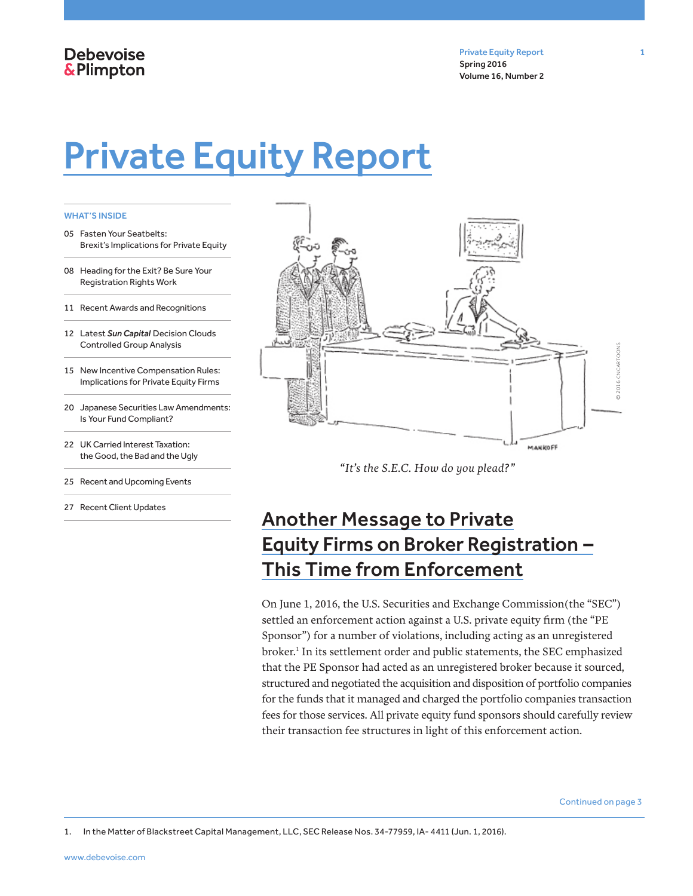## **Debevoise &Plimpton**

Private Equity Report 1 Spring 2016 Volume 16, Number 2

# Private Equity Report

#### WHAT'S INSIDE

- 05 Fasten Your Seatbelts: Brexit's Implications for Private Equity
- 08 Heading for the Exit? Be Sure Your Registration Rights Work
- 11 Recent Awards and Recognitions
- 12 Latest *Sun Capital* Decision Clouds Controlled Group Analysis
- 15 New Incentive Compensation Rules: Implications for Private Equity Firms
- 20 Japanese Securities Law Amendments: Is Your Fund Compliant?
- 22 UK Carried Interest Taxation: the Good, the Bad and the Ugly
- 25 Recent and Upcoming Events
- 27 Recent Client Updates



*"It's the S.E.C. How do you plead?"*

## Another Message to Private Equity Firms on Broker Registration – This Time from Enforcement

On June 1, 2016, the U.S. Securities and Exchange Commission(the "SEC") settled an enforcement action against a U.S. private equity firm (the "PE Sponsor") for a number of violations, including acting as an unregistered broker.<sup>1</sup> In its settlement order and public statements, the SEC emphasized that the PE Sponsor had acted as an unregistered broker because it sourced, structured and negotiated the acquisition and disposition of portfolio companies for the funds that it managed and charged the portfolio companies transaction fees for those services. All private equity fund sponsors should carefully review their transaction fee structures in light of this enforcement action.

Continued on page 3

1. In the Matter of Blackstreet Capital Management, LLC, SEC Release Nos. 34-77959, IA- 4411 (Jun. 1, 2016).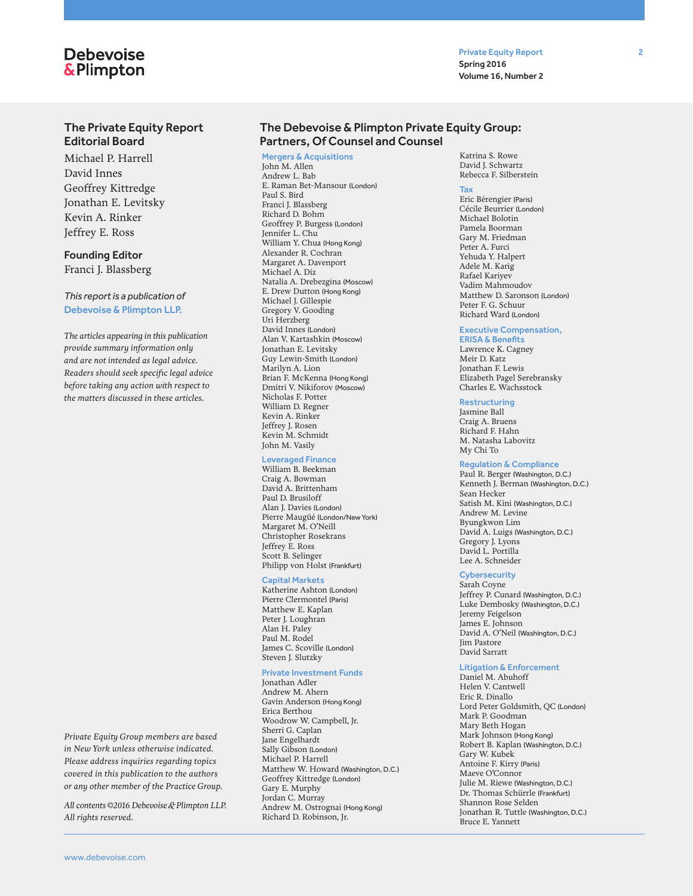## **Debevoise** & Plimpton

Private Equity Report 2 Spring 2016 Volume 16, Number 2

#### The Private Equity Report Editorial Board

Michael P. Harrell David Innes Geoffrey Kittredge Jonathan E. Levitsky Kevin A. Rinker Jeffrey E. Ross

#### Founding Editor

Franci J. Blassberg

#### *This report is a publication of*  Debevoise & Plimpton LLP.

*The articles appearing in this publication provide summary information only and are not intended as legal advice. Readers should seek specific legal advice before taking any action with respect to the matters discussed in these articles.*

*Private Equity Group members are based in New York unless otherwise indicated. Please address inquiries regarding topics covered in this publication to the authors or any other member of the Practice Group.* 

*All contents © 2016 Debevoise & Plimpton LLP. All rights reserved.*

#### The Debevoise & Plimpton Private Equity Group: Partners, Of Counsel and Counsel

#### Mergers & Acquisitions

John M. Allen Andrew L. Bab E. Raman Bet-Mansour (London) Paul S. Bird Franci J. Blassberg Richard D. Bohm Geoffrey P. Burgess (London) Jennifer L. Chu William Y. Chua (Hong Kong) Alexander R. Cochran Margaret A. Davenport Michael A. Diz Natalia A. Drebezgina (Moscow) E. Drew Dutton (Hong Kong) Michael J. Gillespie Gregory V. Gooding Uri Herzberg David Innes (London) Alan V. Kartashkin (Moscow) Jonathan E. Levitsky Guy Lewin-Smith (London) Marilyn A. Lion Brian F. McKenna (Hong Kong) Dmitri V. Nikiforov (Moscow) Nicholas F. Potter William D. Regner Kevin A. Rinker Jeffrey J. Rosen Kevin M. Schmidt John M. Vasily

#### Leveraged Finance

William B. Beekman Craig A. Bowman David A. Brittenham Paul D. Brusiloff Alan J. Davies (London) Pierre Maugüé (London/New York) Margaret M. O'Neill Christopher Rosekrans Jeffrey E. Ross Scott B. Selinger Philipp von Holst (Frankfurt)

#### Capital Markets

Katherine Ashton (London) Pierre Clermontel (Paris) Matthew E. Kaplan Peter J. Loughran Alan H. Paley Paul M. Rodel James C. Scoville (London) Steven J. Slutzky

#### Private Investment Funds

Jonathan Adler Andrew M. Ahern Gavin Anderson (Hong Kong) Erica Berthou Woodrow W. Campbell, Jr. Sherri G. Caplan Jane Engelhardt Sally Gibson (London) Michael P. Harrell Matthew W. Howard (Washington, D.C.) Geoffrey Kittredge (London) Gary E. Murphy Jordan C. Murray Andrew M. Ostrognai (Hong Kong) Richard D. Robinson, Jr.

Katrina S. Rowe David I. Schwartz Rebecca F. Silberstein

#### Tax

Eric Bérengier (Paris) Cécile Beurrier (London) Michael Bolotin Pamela Boorman Gary M. Friedman Peter A. Furci Yehuda Y. Halpert Adele M. Karig Rafael Kariyev Vadim Mahmoudov Matthew D. Saronson (London) Peter F. G. Schuur Richard Ward (London)

#### Executive Compensation,

ERISA & Benefits Lawrence K. Cagney Meir D. Katz Jonathan F. Lewis Elizabeth Pagel Serebransky Charles E. Wachsstock

#### Restructuring

Jasmine Ball Craig A. Bruens Richard F. Hahn M. Natasha Labovitz My Chi To

#### Regulation & Compliance

Paul R. Berger (Washington, D.C.) Kenneth J. Berman (Washington, D.C.) Sean Hecker Satish M. Kini (Washington, D.C.) Andrew M. Levine Byungkwon Lim David A. Luigs (Washington, D.C.) Gregory J. Lyons David L. Portilla Lee A. Schneider

#### **Cybersecurity**

Sarah Coyne Jeffrey P. Cunard (Washington, D.C.) Luke Dembosky (Washington, D.C.) Jeremy Feigelson James E. Johnson David A. O'Neil (Washington, D.C.) Jim Pastore David Sarratt

#### Litigation & Enforcement

Daniel M. Abuhoff Helen V. Cantwell Eric R. Dinallo Lord Peter Goldsmith, QC (London) Mark P. Goodman Mary Beth Hogan Mark Johnson (Hong Kong) Robert B. Kaplan (Washington, D.C.) Gary W. Kubek Antoine F. Kirry (Paris) Maeve O'Connor Julie M. Riewe (Washington, D.C.) Dr. Thomas Schürrle (Frankfurt) Shannon Rose Selden Jonathan R. Tuttle (Washington, D.C.) Bruce E. Yannett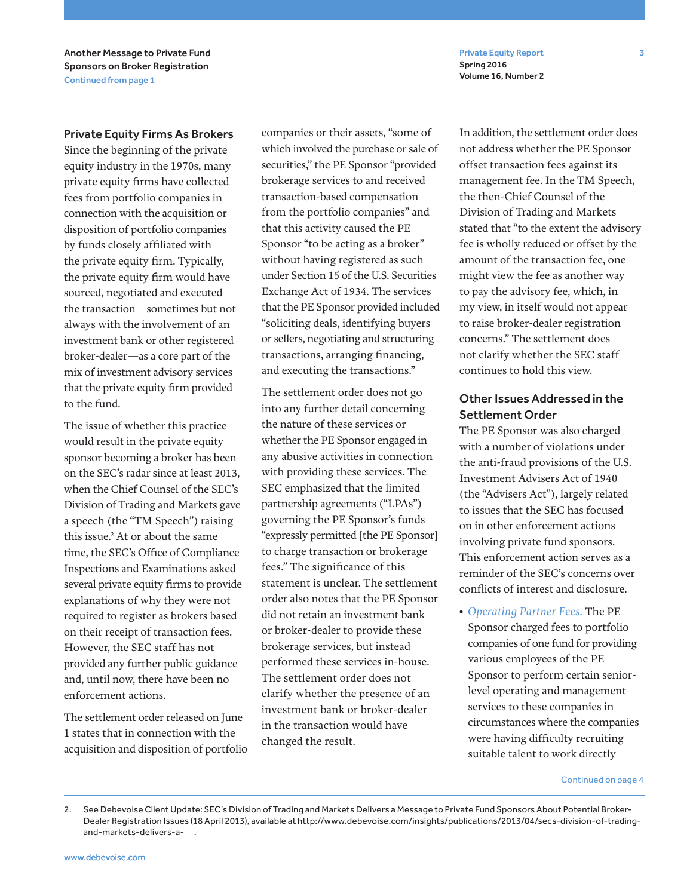Private Equity Report 3 Spring 2016 Volume 16, Number 2

Another Message to Private Fund Sponsors on Broker Registration Continued from page 1

#### Private Equity Firms As Brokers

Since the beginning of the private equity industry in the 1970s, many private equity firms have collected fees from portfolio companies in connection with the acquisition or disposition of portfolio companies by funds closely affiliated with the private equity firm. Typically, the private equity firm would have sourced, negotiated and executed the transaction—sometimes but not always with the involvement of an investment bank or other registered broker-dealer—as a core part of the mix of investment advisory services that the private equity firm provided to the fund.

The issue of whether this practice would result in the private equity sponsor becoming a broker has been on the SEC's radar since at least 2013, when the Chief Counsel of the SEC's Division of Trading and Markets gave a speech (the "TM Speech") raising this issue.2 At or about the same time, the SEC's Office of Compliance Inspections and Examinations asked several private equity firms to provide explanations of why they were not required to register as brokers based on their receipt of transaction fees. However, the SEC staff has not provided any further public guidance and, until now, there have been no enforcement actions.

The settlement order released on June 1 states that in connection with the acquisition and disposition of portfolio companies or their assets, "some of which involved the purchase or sale of securities," the PE Sponsor "provided brokerage services to and received transaction-based compensation from the portfolio companies" and that this activity caused the PE Sponsor "to be acting as a broker" without having registered as such under Section 15 of the U.S. Securities Exchange Act of 1934. The services that the PE Sponsor provided included "soliciting deals, identifying buyers or sellers, negotiating and structuring transactions, arranging financing, and executing the transactions."

The settlement order does not go into any further detail concerning the nature of these services or whether the PE Sponsor engaged in any abusive activities in connection with providing these services. The SEC emphasized that the limited partnership agreements ("LPAs") governing the PE Sponsor's funds "expressly permitted [the PE Sponsor] to charge transaction or brokerage fees." The significance of this statement is unclear. The settlement order also notes that the PE Sponsor did not retain an investment bank or broker-dealer to provide these brokerage services, but instead performed these services in-house. The settlement order does not clarify whether the presence of an investment bank or broker-dealer in the transaction would have changed the result.

In addition, the settlement order does not address whether the PE Sponsor offset transaction fees against its management fee. In the TM Speech, the then-Chief Counsel of the Division of Trading and Markets stated that "to the extent the advisory fee is wholly reduced or offset by the amount of the transaction fee, one might view the fee as another way to pay the advisory fee, which, in my view, in itself would not appear to raise broker-dealer registration concerns." The settlement does not clarify whether the SEC staff continues to hold this view.

## Other Issues Addressed in the Settlement Order

The PE Sponsor was also charged with a number of violations under the anti-fraud provisions of the U.S. Investment Advisers Act of 1940 (the "Advisers Act"), largely related to issues that the SEC has focused on in other enforcement actions involving private fund sponsors. This enforcement action serves as a reminder of the SEC's concerns over conflicts of interest and disclosure.

*• Operating Partner Fees.* The PE Sponsor charged fees to portfolio companies of one fund for providing various employees of the PE Sponsor to perform certain seniorlevel operating and management services to these companies in circumstances where the companies were having difficulty recruiting suitable talent to work directly

#### Continued on page 4

<sup>2.</sup> See Debevoise Client Update: SEC's Division of Trading and Markets Delivers a Message to Private Fund Sponsors About Potential Broker-Dealer Registration Issues (18 April 2013), available at http://www.debevoise.com/insights/publications/2013/04/secs-division-of-tradingand-markets-delivers-a-\_\_.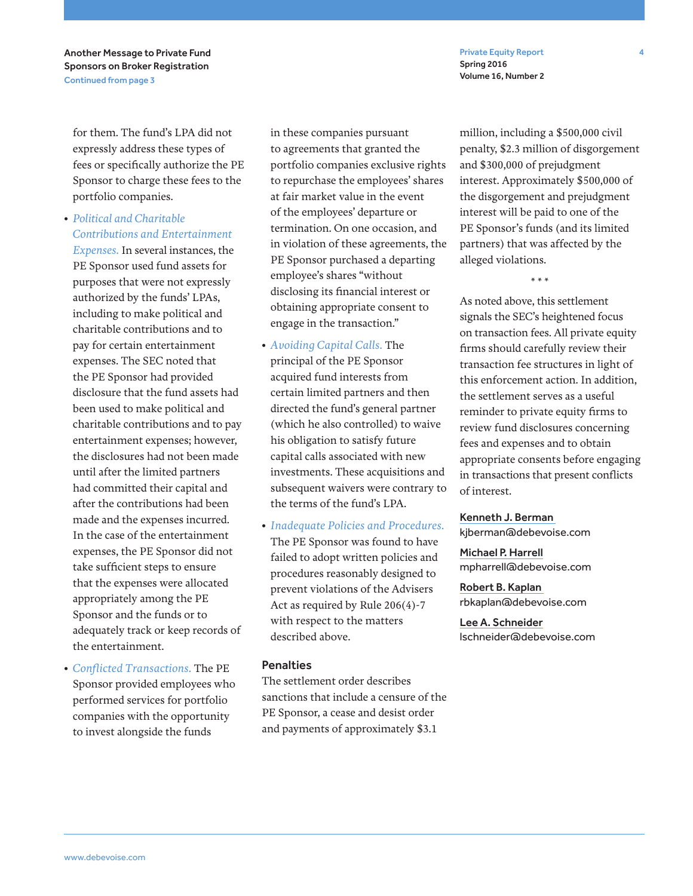Private Equity Report 4 Spring 2016 Volume 16, Number 2

Another Message to Private Fund Sponsors on Broker Registration Continued from page 3

for them. The fund's LPA did not expressly address these types of fees or specifically authorize the PE Sponsor to charge these fees to the portfolio companies.

*• Political and Charitable Contributions and Entertainment* 

*Expenses.* In several instances, the PE Sponsor used fund assets for purposes that were not expressly authorized by the funds' LPAs, including to make political and charitable contributions and to pay for certain entertainment expenses. The SEC noted that the PE Sponsor had provided disclosure that the fund assets had been used to make political and charitable contributions and to pay entertainment expenses; however, the disclosures had not been made until after the limited partners had committed their capital and after the contributions had been made and the expenses incurred. In the case of the entertainment expenses, the PE Sponsor did not take sufficient steps to ensure that the expenses were allocated appropriately among the PE Sponsor and the funds or to adequately track or keep records of the entertainment.

*• Conflicted Transactions.* The PE Sponsor provided employees who performed services for portfolio companies with the opportunity to invest alongside the funds

in these companies pursuant to agreements that granted the portfolio companies exclusive rights to repurchase the employees' shares at fair market value in the event of the employees' departure or termination. On one occasion, and in violation of these agreements, the PE Sponsor purchased a departing employee's shares "without disclosing its financial interest or obtaining appropriate consent to engage in the transaction."

- *Avoiding Capital Calls.* The principal of the PE Sponsor acquired fund interests from certain limited partners and then directed the fund's general partner (which he also controlled) to waive his obligation to satisfy future capital calls associated with new investments. These acquisitions and subsequent waivers were contrary to the terms of the fund's LPA.
- *Inadequate Policies and Procedures.* The PE Sponsor was found to have failed to adopt written policies and procedures reasonably designed to prevent violations of the Advisers Act as required by Rule 206(4)-7 with respect to the matters described above.

#### **Penalties**

The settlement order describes sanctions that include a censure of the PE Sponsor, a cease and desist order and payments of approximately \$3.1

million, including a \$500,000 civil penalty, \$2.3 million of disgorgement and \$300,000 of prejudgment interest. Approximately \$500,000 of the disgorgement and prejudgment interest will be paid to one of the PE Sponsor's funds (and its limited partners) that was affected by the alleged violations.

\* \* \*

As noted above, this settlement signals the SEC's heightened focus on transaction fees. All private equity firms should carefully review their transaction fee structures in light of this enforcement action. In addition, the settlement serves as a useful reminder to private equity firms to review fund disclosures concerning fees and expenses and to obtain appropriate consents before engaging in transactions that present conflicts of interest.

#### Kenneth J. Berman

kjberman@debevoise.com

Michael P. Harrell mpharrell@debevoise.com

Robert B. Kaplan rbkaplan@debevoise.com

Lee A. Schneider lschneider@debevoise.com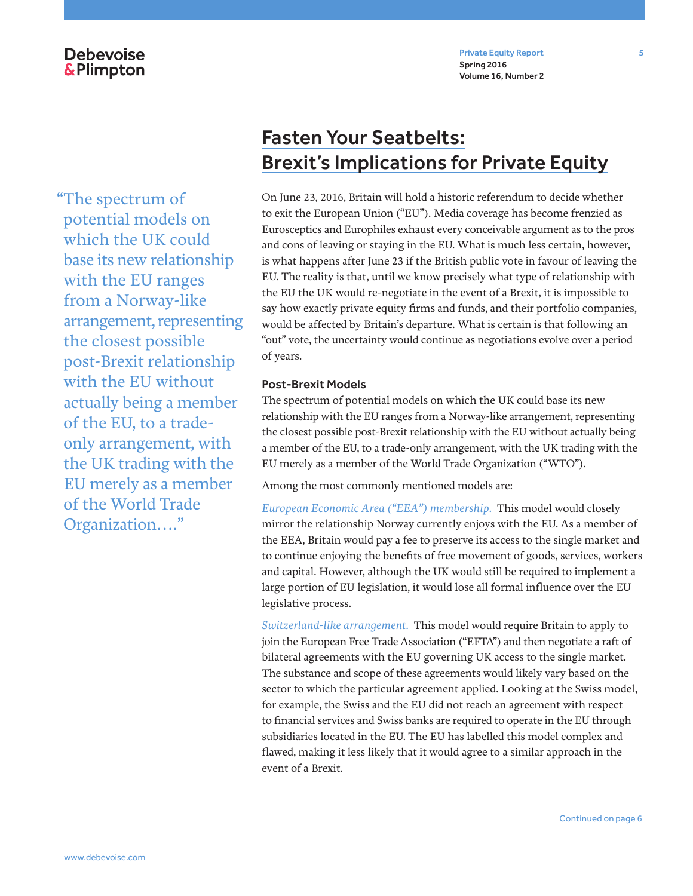## **Debevoise** &Plimpton

Private Equity Report 5 Spring 2016 Volume 16, Number 2

"The spectrum of potential models on which the UK could base its new relationship with the EU ranges from a Norway-like arrangement, representing the closest possible post-Brexit relationship with the EU without actually being a member of the EU, to a tradeonly arrangement, with the UK trading with the EU merely as a member of the World Trade Organization…."

## Fasten Your Seatbelts: Brexit's Implications for Private Equity

On June 23, 2016, Britain will hold a historic referendum to decide whether to exit the European Union ("EU"). Media coverage has become frenzied as Eurosceptics and Europhiles exhaust every conceivable argument as to the pros and cons of leaving or staying in the EU. What is much less certain, however, is what happens after June 23 if the British public vote in favour of leaving the EU. The reality is that, until we know precisely what type of relationship with the EU the UK would re-negotiate in the event of a Brexit, it is impossible to say how exactly private equity firms and funds, and their portfolio companies, would be affected by Britain's departure. What is certain is that following an "out" vote, the uncertainty would continue as negotiations evolve over a period of years.

### Post-Brexit Models

The spectrum of potential models on which the UK could base its new relationship with the EU ranges from a Norway-like arrangement, representing the closest possible post-Brexit relationship with the EU without actually being a member of the EU, to a trade-only arrangement, with the UK trading with the EU merely as a member of the World Trade Organization ("WTO").

Among the most commonly mentioned models are:

*European Economic Area ("EEA") membership.* This model would closely mirror the relationship Norway currently enjoys with the EU. As a member of the EEA, Britain would pay a fee to preserve its access to the single market and to continue enjoying the benefits of free movement of goods, services, workers and capital. However, although the UK would still be required to implement a large portion of EU legislation, it would lose all formal influence over the EU legislative process.

*Switzerland-like arrangement.* This model would require Britain to apply to join the European Free Trade Association ("EFTA") and then negotiate a raft of bilateral agreements with the EU governing UK access to the single market. The substance and scope of these agreements would likely vary based on the sector to which the particular agreement applied. Looking at the Swiss model, for example, the Swiss and the EU did not reach an agreement with respect to financial services and Swiss banks are required to operate in the EU through subsidiaries located in the EU. The EU has labelled this model complex and flawed, making it less likely that it would agree to a similar approach in the event of a Brexit.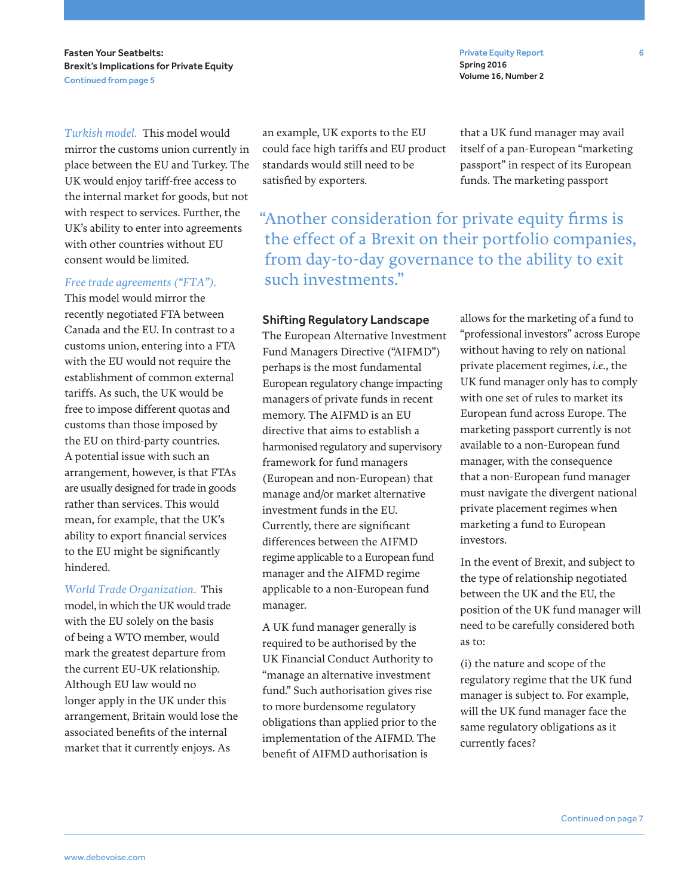Fasten Your Seatbelts: Brexit's Implications for Private Equity Continued from page 5

*Turkish model.* This model would mirror the customs union currently in place between the EU and Turkey. The UK would enjoy tariff-free access to the internal market for goods, but not with respect to services. Further, the UK's ability to enter into agreements with other countries without EU consent would be limited.

#### *Free trade agreements ("FTA").*

This model would mirror the recently negotiated FTA between Canada and the EU. In contrast to a customs union, entering into a FTA with the EU would not require the establishment of common external tariffs. As such, the UK would be free to impose different quotas and customs than those imposed by the EU on third-party countries. A potential issue with such an arrangement, however, is that FTAs are usually designed for trade in goods rather than services. This would mean, for example, that the UK's ability to export financial services to the EU might be significantly hindered.

*World Trade Organization.* This model, in which the UK would trade with the EU solely on the basis of being a WTO member, would mark the greatest departure from the current EU-UK relationship. Although EU law would no longer apply in the UK under this arrangement, Britain would lose the associated benefits of the internal market that it currently enjoys. As

an example, UK exports to the EU could face high tariffs and EU product standards would still need to be satisfied by exporters.

"Another consideration for private equity firms is the effect of a Brexit on their portfolio companies, from day-to-day governance to the ability to exit such investments."

### Shifting Regulatory Landscape

The European Alternative Investment Fund Managers Directive ("AIFMD") perhaps is the most fundamental European regulatory change impacting managers of private funds in recent memory. The AIFMD is an EU directive that aims to establish a harmonised regulatory and supervisory framework for fund managers (European and non-European) that manage and/or market alternative investment funds in the EU. Currently, there are significant differences between the AIFMD regime applicable to a European fund manager and the AIFMD regime applicable to a non-European fund manager.

A UK fund manager generally is required to be authorised by the UK Financial Conduct Authority to "manage an alternative investment fund." Such authorisation gives rise to more burdensome regulatory obligations than applied prior to the implementation of the AIFMD. The benefit of AIFMD authorisation is

allows for the marketing of a fund to "professional investors" across Europe without having to rely on national private placement regimes, *i.e.*, the UK fund manager only has to comply with one set of rules to market its European fund across Europe. The marketing passport currently is not available to a non-European fund manager, with the consequence that a non-European fund manager must navigate the divergent national private placement regimes when marketing a fund to European investors.

In the event of Brexit, and subject to the type of relationship negotiated between the UK and the EU, the position of the UK fund manager will need to be carefully considered both as to:

(i) the nature and scope of the regulatory regime that the UK fund manager is subject to. For example, will the UK fund manager face the same regulatory obligations as it currently faces?

Private Equity Report 6 Spring 2016 Volume 16, Number 2

that a UK fund manager may avail itself of a pan-European "marketing passport" in respect of its European funds. The marketing passport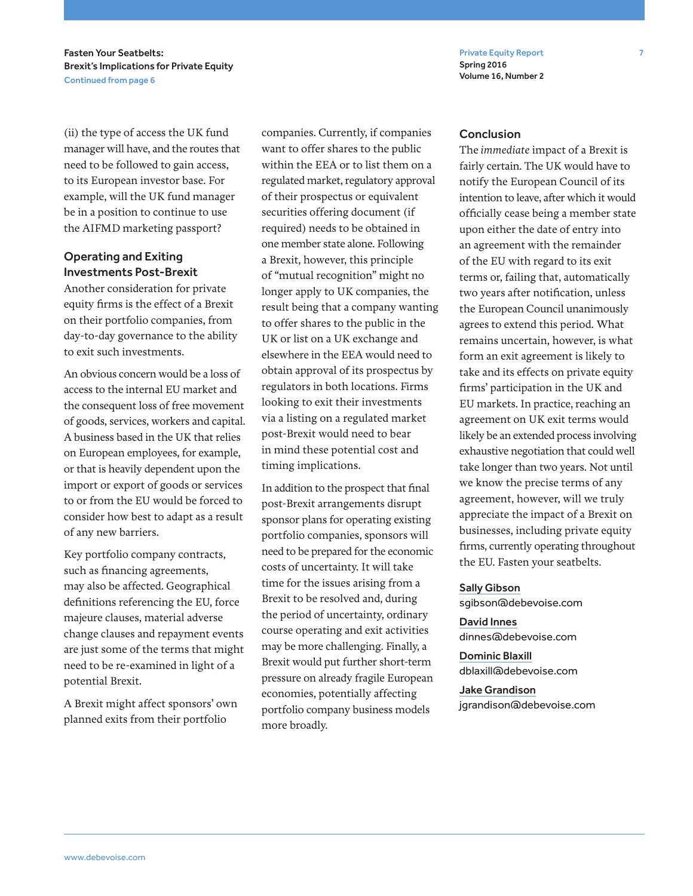Private Equity Report 7 Spring 2016 Volume 16, Number 2

Fasten Your Seatbelts: Brexit's Implications for Private Equity Continued from page 6

(ii) the type of access the UK fund manager will have, and the routes that need to be followed to gain access, to its European investor base. For example, will the UK fund manager be in a position to continue to use the AIFMD marketing passport?

## Operating and Exiting Investments Post-Brexit

Another consideration for private equity firms is the effect of a Brexit on their portfolio companies, from day-to-day governance to the ability to exit such investments.

An obvious concern would be a loss of access to the internal EU market and the consequent loss of free movement of goods, services, workers and capital. A business based in the UK that relies on European employees, for example, or that is heavily dependent upon the import or export of goods or services to or from the EU would be forced to consider how best to adapt as a result of any new barriers.

Key portfolio company contracts, such as financing agreements, may also be affected. Geographical definitions referencing the EU, force majeure clauses, material adverse change clauses and repayment events are just some of the terms that might need to be re-examined in light of a potential Brexit.

A Brexit might affect sponsors' own planned exits from their portfolio

companies. Currently, if companies want to offer shares to the public within the EEA or to list them on a regulated market, regulatory approval of their prospectus or equivalent securities offering document (if required) needs to be obtained in one member state alone. Following a Brexit, however, this principle of "mutual recognition" might no longer apply to UK companies, the result being that a company wanting to offer shares to the public in the UK or list on a UK exchange and elsewhere in the EEA would need to obtain approval of its prospectus by regulators in both locations. Firms looking to exit their investments via a listing on a regulated market post-Brexit would need to bear in mind these potential cost and timing implications.

In addition to the prospect that final post-Brexit arrangements disrupt sponsor plans for operating existing portfolio companies, sponsors will need to be prepared for the economic costs of uncertainty. It will take time for the issues arising from a Brexit to be resolved and, during the period of uncertainty, ordinary course operating and exit activities may be more challenging. Finally, a Brexit would put further short-term pressure on already fragile European economies, potentially affecting portfolio company business models more broadly.

#### **Conclusion**

The *immediate* impact of a Brexit is fairly certain. The UK would have to notify the European Council of its intention to leave, after which it would officially cease being a member state upon either the date of entry into an agreement with the remainder of the EU with regard to its exit terms or, failing that, automatically two years after notification, unless the European Council unanimously agrees to extend this period. What remains uncertain, however, is what form an exit agreement is likely to take and its effects on private equity firms' participation in the UK and EU markets. In practice, reaching an agreement on UK exit terms would likely be an extended process involving exhaustive negotiation that could well take longer than two years. Not until we know the precise terms of any agreement, however, will we truly appreciate the impact of a Brexit on businesses, including private equity firms, currently operating throughout the EU. Fasten your seatbelts.

#### Sally Gibson

sgibson@debevoise.com

David Innes dinnes@debevoise.com

Dominic Blaxill dblaxill@debevoise.com

Jake Grandison jgrandison@debevoise.com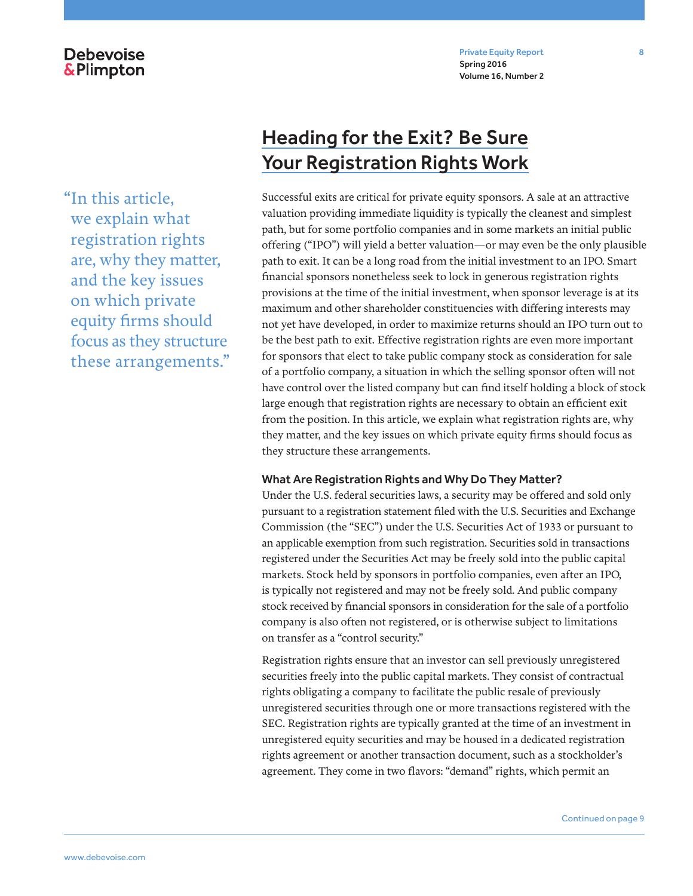Private Equity Report 8 Spring 2016 Volume 16, Number 2

## **Debevoise &Plimpton**

"In this article, we explain what registration rights are, why they matter, and the key issues on which private equity firms should focus as they structure these arrangements."

## Heading for the Exit? Be Sure Your Registration Rights Work

Successful exits are critical for private equity sponsors. A sale at an attractive valuation providing immediate liquidity is typically the cleanest and simplest path, but for some portfolio companies and in some markets an initial public offering ("IPO") will yield a better valuation—or may even be the only plausible path to exit. It can be a long road from the initial investment to an IPO. Smart financial sponsors nonetheless seek to lock in generous registration rights provisions at the time of the initial investment, when sponsor leverage is at its maximum and other shareholder constituencies with differing interests may not yet have developed, in order to maximize returns should an IPO turn out to be the best path to exit. Effective registration rights are even more important for sponsors that elect to take public company stock as consideration for sale of a portfolio company, a situation in which the selling sponsor often will not have control over the listed company but can find itself holding a block of stock large enough that registration rights are necessary to obtain an efficient exit from the position. In this article, we explain what registration rights are, why they matter, and the key issues on which private equity firms should focus as they structure these arrangements.

## What Are Registration Rights and Why Do They Matter?

Under the U.S. federal securities laws, a security may be offered and sold only pursuant to a registration statement filed with the U.S. Securities and Exchange Commission (the "SEC") under the U.S. Securities Act of 1933 or pursuant to an applicable exemption from such registration. Securities sold in transactions registered under the Securities Act may be freely sold into the public capital markets. Stock held by sponsors in portfolio companies, even after an IPO, is typically not registered and may not be freely sold. And public company stock received by financial sponsors in consideration for the sale of a portfolio company is also often not registered, or is otherwise subject to limitations on transfer as a "control security."

Registration rights ensure that an investor can sell previously unregistered securities freely into the public capital markets. They consist of contractual rights obligating a company to facilitate the public resale of previously unregistered securities through one or more transactions registered with the SEC. Registration rights are typically granted at the time of an investment in unregistered equity securities and may be housed in a dedicated registration rights agreement or another transaction document, such as a stockholder's agreement. They come in two flavors: "demand" rights, which permit an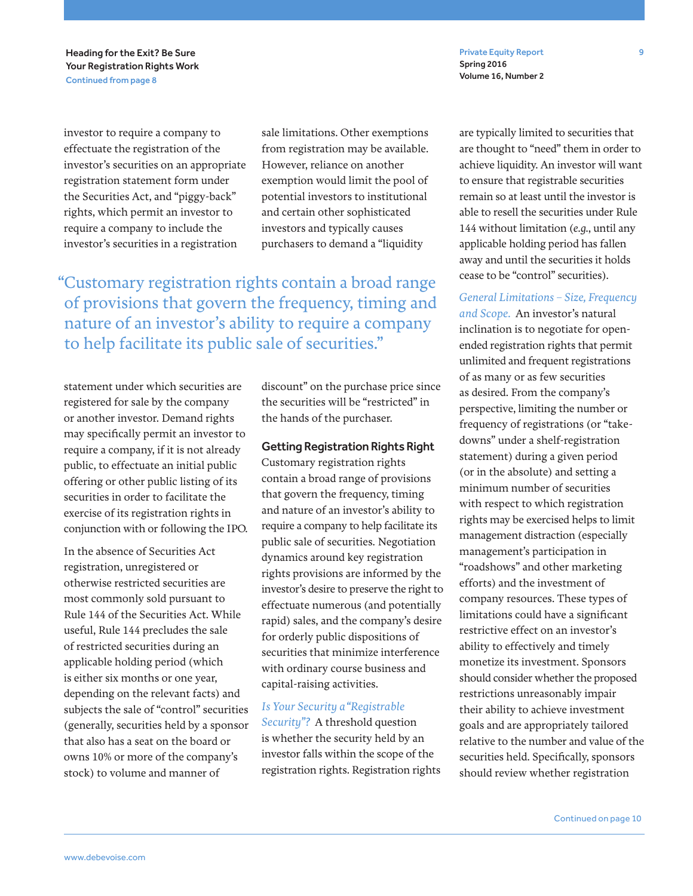Private Equity Report 9 Spring 2016 Volume 16, Number 2

Heading for the Exit? Be Sure Your Registration Rights Work Continued from page 8

investor to require a company to effectuate the registration of the investor's securities on an appropriate registration statement form under the Securities Act, and "piggy-back" rights, which permit an investor to require a company to include the investor's securities in a registration

sale limitations. Other exemptions from registration may be available. However, reliance on another exemption would limit the pool of potential investors to institutional and certain other sophisticated investors and typically causes purchasers to demand a "liquidity

"Customary registration rights contain a broad range of provisions that govern the frequency, timing and nature of an investor's ability to require a company to help facilitate its public sale of securities."

statement under which securities are registered for sale by the company or another investor. Demand rights may specifically permit an investor to require a company, if it is not already public, to effectuate an initial public offering or other public listing of its securities in order to facilitate the exercise of its registration rights in conjunction with or following the IPO.

In the absence of Securities Act registration, unregistered or otherwise restricted securities are most commonly sold pursuant to Rule 144 of the Securities Act. While useful, Rule 144 precludes the sale of restricted securities during an applicable holding period (which is either six months or one year, depending on the relevant facts) and subjects the sale of "control" securities (generally, securities held by a sponsor that also has a seat on the board or owns 10% or more of the company's stock) to volume and manner of

discount" on the purchase price since the securities will be "restricted" in the hands of the purchaser.

Getting Registration Rights Right Customary registration rights contain a broad range of provisions that govern the frequency, timing and nature of an investor's ability to require a company to help facilitate its public sale of securities. Negotiation dynamics around key registration rights provisions are informed by the investor's desire to preserve the right to effectuate numerous (and potentially rapid) sales, and the company's desire for orderly public dispositions of securities that minimize interference with ordinary course business and capital-raising activities.

## *Is Your Security a "Registrable*

*Security"?* A threshold question is whether the security held by an investor falls within the scope of the registration rights. Registration rights are typically limited to securities that are thought to "need" them in order to achieve liquidity. An investor will want to ensure that registrable securities remain so at least until the investor is able to resell the securities under Rule 144 without limitation (*e.g.*, until any applicable holding period has fallen away and until the securities it holds cease to be "control" securities).

### *General Limitations – Size, Frequency and Scope.* An investor's natural

inclination is to negotiate for openended registration rights that permit unlimited and frequent registrations of as many or as few securities as desired. From the company's perspective, limiting the number or frequency of registrations (or "takedowns" under a shelf-registration statement) during a given period (or in the absolute) and setting a minimum number of securities with respect to which registration rights may be exercised helps to limit management distraction (especially management's participation in "roadshows" and other marketing efforts) and the investment of company resources. These types of limitations could have a significant restrictive effect on an investor's ability to effectively and timely monetize its investment. Sponsors should consider whether the proposed restrictions unreasonably impair their ability to achieve investment goals and are appropriately tailored relative to the number and value of the securities held. Specifically, sponsors should review whether registration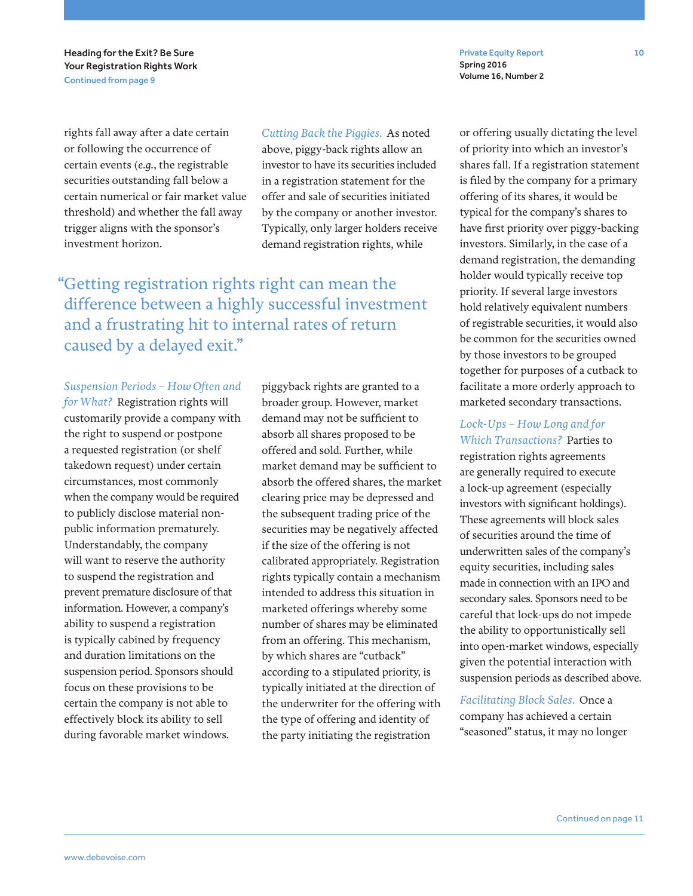Heading for the Exit? Be Sure Your Registration Rights Work Continued from page 9

Private Equity Report 10 Spring 2016 Volume 16, Number 2

rights fall away after a date certain or following the occurrence of certain events (*e.g.*, the registrable securities outstanding fall below a certain numerical or fair market value threshold) and whether the fall away trigger aligns with the sponsor's investment horizon.

*Cutting Back the Piggies.* As noted above, piggy-back rights allow an investor to have its securities included in a registration statement for the offer and sale of securities initiated by the company or another investor. Typically, only larger holders receive demand registration rights, while

"Getting registration rights right can mean the difference between a highly successful investment and a frustrating hit to internal rates of return caused by a delayed exit."

#### *Suspension Periods – How Often and*

*for What?* Registration rights will customarily provide a company with the right to suspend or postpone a requested registration (or shelf takedown request) under certain circumstances, most commonly when the company would be required to publicly disclose material nonpublic information prematurely. Understandably, the company will want to reserve the authority to suspend the registration and prevent premature disclosure of that information. However, a company's ability to suspend a registration is typically cabined by frequency and duration limitations on the suspension period. Sponsors should focus on these provisions to be certain the company is not able to effectively block its ability to sell during favorable market windows.

piggyback rights are granted to a broader group. However, market demand may not be sufficient to absorb all shares proposed to be offered and sold. Further, while market demand may be sufficient to absorb the offered shares, the market clearing price may be depressed and the subsequent trading price of the securities may be negatively affected if the size of the offering is not calibrated appropriately. Registration rights typically contain a mechanism intended to address this situation in marketed offerings whereby some number of shares may be eliminated from an offering. This mechanism, by which shares are "cutback" according to a stipulated priority, is typically initiated at the direction of the underwriter for the offering with the type of offering and identity of the party initiating the registration

or offering usually dictating the level of priority into which an investor's shares fall. If a registration statement is filed by the company for a primary offering of its shares, it would be typical for the company's shares to have first priority over piggy-backing investors. Similarly, in the case of a demand registration, the demanding holder would typically receive top priority. If several large investors hold relatively equivalent numbers of registrable securities, it would also be common for the securities owned by those investors to be grouped together for purposes of a cutback to facilitate a more orderly approach to marketed secondary transactions.

*Lock-Ups – How Long and for Which Transactions?* Parties to registration rights agreements are generally required to execute a lock-up agreement (especially investors with significant holdings). These agreements will block sales of securities around the time of underwritten sales of the company's equity securities, including sales made in connection with an IPO and secondary sales. Sponsors need to be careful that lock-ups do not impede the ability to opportunistically sell into open-market windows, especially given the potential interaction with suspension periods as described above.

*Facilitating Block Sales.* Once a company has achieved a certain "seasoned" status, it may no longer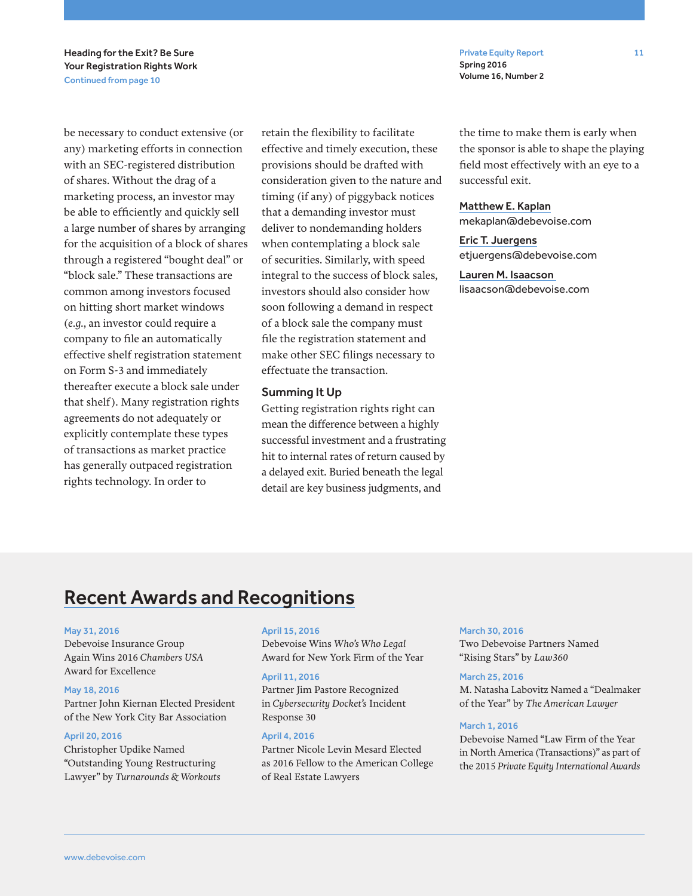Private Equity Report 11 Spring 2016 Volume 16, Number 2

Heading for the Exit? Be Sure Your Registration Rights Work Continued from page 10

be necessary to conduct extensive (or any) marketing efforts in connection with an SEC-registered distribution of shares. Without the drag of a marketing process, an investor may be able to efficiently and quickly sell a large number of shares by arranging for the acquisition of a block of shares through a registered "bought deal" or "block sale." These transactions are common among investors focused on hitting short market windows (*e.g.*, an investor could require a company to file an automatically effective shelf registration statement on Form S-3 and immediately thereafter execute a block sale under that shelf). Many registration rights agreements do not adequately or explicitly contemplate these types of transactions as market practice has generally outpaced registration rights technology. In order to

retain the flexibility to facilitate effective and timely execution, these provisions should be drafted with consideration given to the nature and timing (if any) of piggyback notices that a demanding investor must deliver to nondemanding holders when contemplating a block sale of securities. Similarly, with speed integral to the success of block sales, investors should also consider how soon following a demand in respect of a block sale the company must file the registration statement and make other SEC filings necessary to effectuate the transaction.

#### Summing It Up

Getting registration rights right can mean the difference between a highly successful investment and a frustrating hit to internal rates of return caused by a delayed exit. Buried beneath the legal detail are key business judgments, and

the time to make them is early when the sponsor is able to shape the playing field most effectively with an eye to a successful exit.

#### Matthew E. Kaplan

mekaplan@debevoise.com

Eric T. Juergens etjuergens@debevoise.com

Lauren M. Isaacson lisaacson@debevoise.com

## Recent Awards and Recognitions

#### May 31, 2016

Debevoise Insurance Group Again Wins 2016 *Chambers USA* Award for Excellence

#### May 18, 2016

Partner John Kiernan Elected President of the New York City Bar Association

#### April 20, 2016

Christopher Updike Named "Outstanding Young Restructuring Lawyer" by *Turnarounds & Workouts*

#### April 15, 2016

Debevoise Wins *Who's Who Legal* Award for New York Firm of the Year

#### April 11, 2016

Partner Jim Pastore Recognized in *Cybersecurity Docket's* Incident Response 30

#### April 4, 2016

Partner Nicole Levin Mesard Elected as 2016 Fellow to the American College of Real Estate Lawyers

#### March 30, 2016

Two Debevoise Partners Named "Rising Stars" by *Law360*

#### March 25, 2016

M. Natasha Labovitz Named a "Dealmaker of the Year" by *The American Lawyer*

#### March 1, 2016

Debevoise Named "Law Firm of the Year in North America (Transactions)" as part of the 2015 *Private Equity International Awards*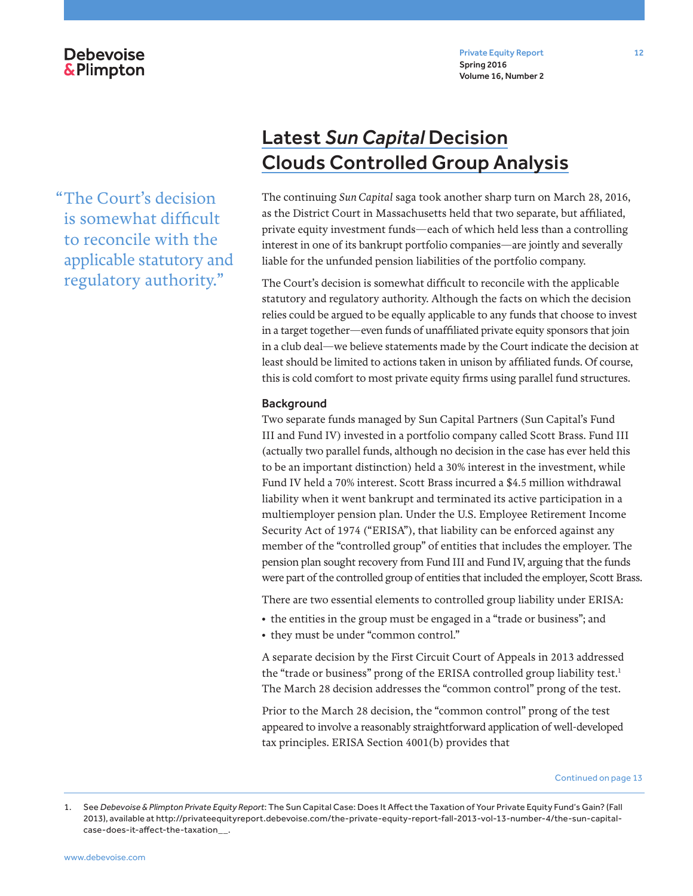Private Equity Report 12 Spring 2016 Volume 16, Number 2

**Debevoise &Plimpton** 

"The Court's decision is somewhat difficult to reconcile with the applicable statutory and regulatory authority."

## Latest *Sun Capital* Decision Clouds Controlled Group Analysis

The continuing *Sun Capital* saga took another sharp turn on March 28, 2016, as the District Court in Massachusetts held that two separate, but affiliated, private equity investment funds—each of which held less than a controlling interest in one of its bankrupt portfolio companies—are jointly and severally liable for the unfunded pension liabilities of the portfolio company.

The Court's decision is somewhat difficult to reconcile with the applicable statutory and regulatory authority. Although the facts on which the decision relies could be argued to be equally applicable to any funds that choose to invest in a target together—even funds of unaffiliated private equity sponsors that join in a club deal—we believe statements made by the Court indicate the decision at least should be limited to actions taken in unison by affiliated funds. Of course, this is cold comfort to most private equity firms using parallel fund structures.

#### **Background**

Two separate funds managed by Sun Capital Partners (Sun Capital's Fund III and Fund IV) invested in a portfolio company called Scott Brass. Fund III (actually two parallel funds, although no decision in the case has ever held this to be an important distinction) held a 30% interest in the investment, while Fund IV held a 70% interest. Scott Brass incurred a \$4.5 million withdrawal liability when it went bankrupt and terminated its active participation in a multiemployer pension plan. Under the U.S. Employee Retirement Income Security Act of 1974 ("ERISA"), that liability can be enforced against any member of the "controlled group" of entities that includes the employer. The pension plan sought recovery from Fund III and Fund IV, arguing that the funds were part of the controlled group of entities that included the employer, Scott Brass.

There are two essential elements to controlled group liability under ERISA:

- the entities in the group must be engaged in a "trade or business"; and
- they must be under "common control."

A separate decision by the First Circuit Court of Appeals in 2013 addressed the "trade or business" prong of the ERISA controlled group liability test. $1$ The March 28 decision addresses the "common control" prong of the test.

Prior to the March 28 decision, the "common control" prong of the test appeared to involve a reasonably straightforward application of well-developed tax principles. ERISA Section 4001(b) provides that

<sup>1.</sup> See *Debevoise & Plimpton Private Equity Report*: The Sun Capital Case: Does It Affect the Taxation of Your Private Equity Fund's Gain? (Fall 2013), available at http://privateequityreport.debevoise.com/the-private-equity-report-fall-2013-vol-13-number-4/the-sun-capitalcase-does-it-affect-the-taxation\_\_.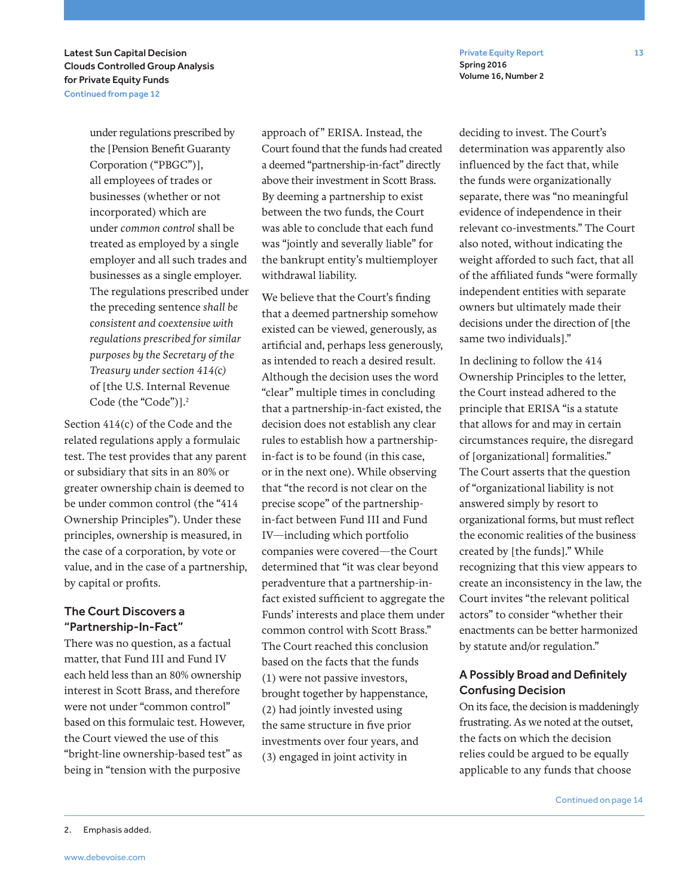Private Equity Report 13 Spring 2016 Volume 16, Number 2

Latest Sun Capital Decision Clouds Controlled Group Analysis for Private Equity Funds Continued from page 12

> under regulations prescribed by the [Pension Benefit Guaranty Corporation ("PBGC")], all employees of trades or businesses (whether or not incorporated) which are under *common control* shall be treated as employed by a single employer and all such trades and businesses as a single employer. The regulations prescribed under the preceding sentence *shall be consistent and coextensive with regulations prescribed for similar purposes by the Secretary of the Treasury under section 414(c)* of [the U.S. Internal Revenue Code (the "Code")].2

Section 414(c) of the Code and the related regulations apply a formulaic test. The test provides that any parent or subsidiary that sits in an 80% or greater ownership chain is deemed to be under common control (the "414 Ownership Principles"). Under these principles, ownership is measured, in the case of a corporation, by vote or value, and in the case of a partnership, by capital or profits.

## The Court Discovers a "Partnership-In-Fact"

There was no question, as a factual matter, that Fund III and Fund IV each held less than an 80% ownership interest in Scott Brass, and therefore were not under "common control" based on this formulaic test. However, the Court viewed the use of this "bright-line ownership-based test" as being in "tension with the purposive

approach of" ERISA. Instead, the Court found that the funds had created a deemed "partnership-in-fact" directly above their investment in Scott Brass. By deeming a partnership to exist between the two funds, the Court was able to conclude that each fund was "jointly and severally liable" for the bankrupt entity's multiemployer withdrawal liability.

We believe that the Court's finding that a deemed partnership somehow existed can be viewed, generously, as artificial and, perhaps less generously, as intended to reach a desired result. Although the decision uses the word "clear" multiple times in concluding that a partnership-in-fact existed, the decision does not establish any clear rules to establish how a partnershipin-fact is to be found (in this case, or in the next one). While observing that "the record is not clear on the precise scope" of the partnershipin-fact between Fund III and Fund IV—including which portfolio companies were covered—the Court determined that "it was clear beyond peradventure that a partnership-infact existed sufficient to aggregate the Funds' interests and place them under common control with Scott Brass." The Court reached this conclusion based on the facts that the funds (1) were not passive investors, brought together by happenstance, (2) had jointly invested using the same structure in five prior investments over four years, and (3) engaged in joint activity in

deciding to invest. The Court's determination was apparently also influenced by the fact that, while the funds were organizationally separate, there was "no meaningful evidence of independence in their relevant co-investments." The Court also noted, without indicating the weight afforded to such fact, that all of the affiliated funds "were formally independent entities with separate owners but ultimately made their decisions under the direction of [the same two individuals]."

In declining to follow the 414 Ownership Principles to the letter, the Court instead adhered to the principle that ERISA "is a statute that allows for and may in certain circumstances require, the disregard of [organizational] formalities." The Court asserts that the question of "organizational liability is not answered simply by resort to organizational forms, but must reflect the economic realities of the business created by [the funds]." While recognizing that this view appears to create an inconsistency in the law, the Court invites "the relevant political actors" to consider "whether their enactments can be better harmonized by statute and/or regulation."

## A Possibly Broad and Definitely Confusing Decision

On its face, the decision is maddeningly frustrating. As we noted at the outset, the facts on which the decision relies could be argued to be equally applicable to any funds that choose

<sup>2.</sup> Emphasis added.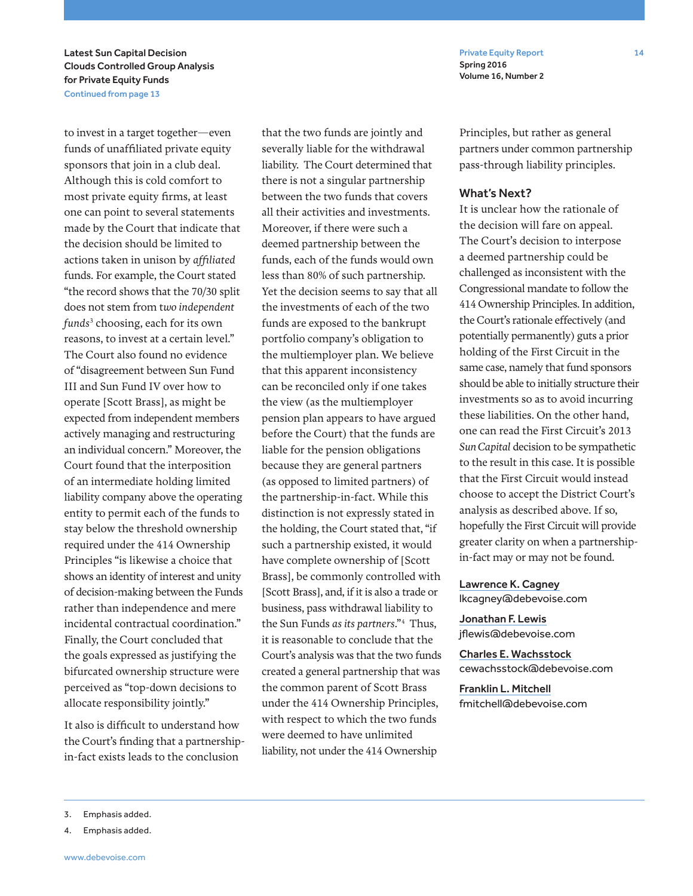Private Equity Report 14 Spring 2016 Volume 16, Number 2

Latest Sun Capital Decision Clouds Controlled Group Analysis for Private Equity Funds Continued from page 13

to invest in a target together—even funds of unaffiliated private equity sponsors that join in a club deal. Although this is cold comfort to most private equity firms, at least one can point to several statements made by the Court that indicate that the decision should be limited to actions taken in unison by *affiliated*  funds. For example, the Court stated "the record shows that the 70/30 split does not stem from t*wo independent funds*<sup>3</sup> choosing, each for its own reasons, to invest at a certain level." The Court also found no evidence of "disagreement between Sun Fund III and Sun Fund IV over how to operate [Scott Brass], as might be expected from independent members actively managing and restructuring an individual concern." Moreover, the Court found that the interposition of an intermediate holding limited liability company above the operating entity to permit each of the funds to stay below the threshold ownership required under the 414 Ownership Principles "is likewise a choice that shows an identity of interest and unity of decision-making between the Funds rather than independence and mere incidental contractual coordination." Finally, the Court concluded that the goals expressed as justifying the bifurcated ownership structure were perceived as "top-down decisions to allocate responsibility jointly."

It also is difficult to understand how the Court's finding that a partnershipin-fact exists leads to the conclusion

that the two funds are jointly and severally liable for the withdrawal liability. The Court determined that there is not a singular partnership between the two funds that covers all their activities and investments. Moreover, if there were such a deemed partnership between the funds, each of the funds would own less than 80% of such partnership. Yet the decision seems to say that all the investments of each of the two funds are exposed to the bankrupt portfolio company's obligation to the multiemployer plan. We believe that this apparent inconsistency can be reconciled only if one takes the view (as the multiemployer pension plan appears to have argued before the Court) that the funds are liable for the pension obligations because they are general partners (as opposed to limited partners) of the partnership-in-fact. While this distinction is not expressly stated in the holding, the Court stated that, "if such a partnership existed, it would have complete ownership of [Scott Brass], be commonly controlled with [Scott Brass], and, if it is also a trade or business, pass withdrawal liability to the Sun Funds *as its partners*."4 Thus, it is reasonable to conclude that the Court's analysis was that the two funds created a general partnership that was the common parent of Scott Brass under the 414 Ownership Principles, with respect to which the two funds were deemed to have unlimited liability, not under the 414 Ownership

Principles, but rather as general partners under common partnership pass-through liability principles.

### What's Next?

It is unclear how the rationale of the decision will fare on appeal. The Court's decision to interpose a deemed partnership could be challenged as inconsistent with the Congressional mandate to follow the 414 Ownership Principles. In addition, the Court's rationale effectively (and potentially permanently) guts a prior holding of the First Circuit in the same case, namely that fund sponsors should be able to initially structure their investments so as to avoid incurring these liabilities. On the other hand, one can read the First Circuit's 2013 *Sun Capital* decision to be sympathetic to the result in this case. It is possible that the First Circuit would instead choose to accept the District Court's analysis as described above. If so, hopefully the First Circuit will provide greater clarity on when a partnershipin-fact may or may not be found.

#### Lawrence K. Cagney

lkcagney@debevoise.com

Jonathan F. Lewis jflewis@debevoise.com

Charles E. Wachsstock cewachsstock@debevoise.com

Franklin L. Mitchell fmitchell@debevoise.com

4. Emphasis added.

<sup>3.</sup> Emphasis added.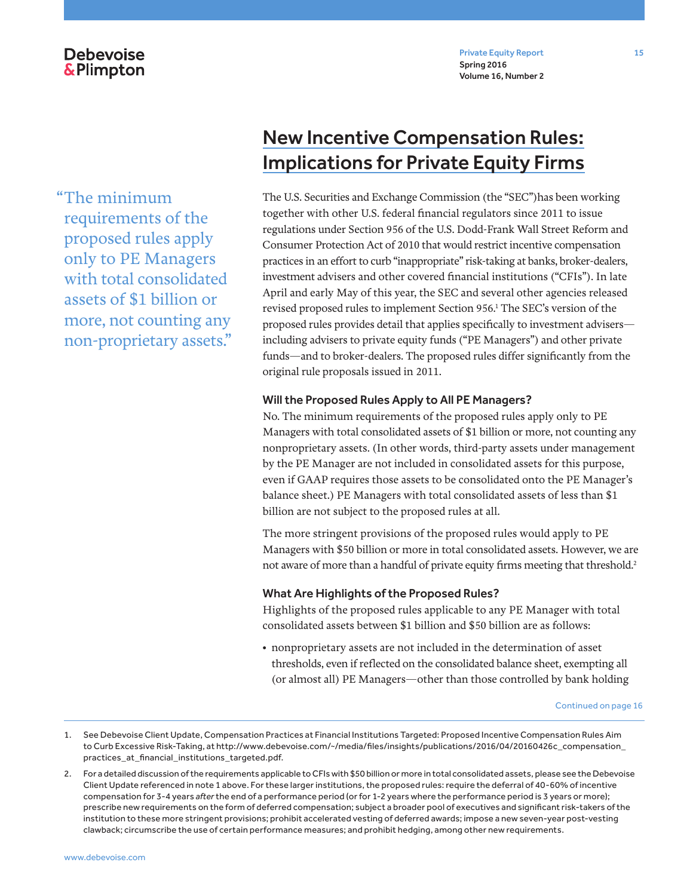## **Debevoise &Plimpton**

Private Equity Report 15 Spring 2016 Volume 16, Number 2

"The minimum requirements of the proposed rules apply only to PE Managers with total consolidated assets of \$1 billion or more, not counting any non-proprietary assets."

## New Incentive Compensation Rules: Implications for Private Equity Firms

The U.S. Securities and Exchange Commission (the "SEC")has been working together with other U.S. federal financial regulators since 2011 to issue regulations under Section 956 of the U.S. Dodd-Frank Wall Street Reform and Consumer Protection Act of 2010 that would restrict incentive compensation practices in an effort to curb "inappropriate" risk-taking at banks, broker-dealers, investment advisers and other covered financial institutions ("CFIs"). In late April and early May of this year, the SEC and several other agencies released revised proposed rules to implement Section 956.1 The SEC's version of the proposed rules provides detail that applies specifically to investment advisers including advisers to private equity funds ("PE Managers") and other private funds—and to broker-dealers. The proposed rules differ significantly from the original rule proposals issued in 2011.

### Will the Proposed Rules Apply to All PE Managers?

No. The minimum requirements of the proposed rules apply only to PE Managers with total consolidated assets of \$1 billion or more, not counting any nonproprietary assets. (In other words, third-party assets under management by the PE Manager are not included in consolidated assets for this purpose, even if GAAP requires those assets to be consolidated onto the PE Manager's balance sheet.) PE Managers with total consolidated assets of less than \$1 billion are not subject to the proposed rules at all.

The more stringent provisions of the proposed rules would apply to PE Managers with \$50 billion or more in total consolidated assets. However, we are not aware of more than a handful of private equity firms meeting that threshold.<sup>2</sup>

### What Are Highlights of the Proposed Rules?

Highlights of the proposed rules applicable to any PE Manager with total consolidated assets between \$1 billion and \$50 billion are as follows:

• nonproprietary assets are not included in the determination of asset thresholds, even if reflected on the consolidated balance sheet, exempting all (or almost all) PE Managers—other than those controlled by bank holding

<sup>1.</sup> See Debevoise Client Update, Compensation Practices at Financial Institutions Targeted: Proposed Incentive Compensation Rules Aim to Curb Excessive Risk-Taking, at http://www.debevoise.com/~/media/files/insights/publications/2016/04/20160426c\_compensation\_ practices\_at\_financial\_institutions\_targeted.pdf.

<sup>2.</sup> For a detailed discussion of the requirements applicable to CFIs with \$50 billion or more in total consolidated assets, please see the Debevoise Client Update referenced in note 1 above. For these larger institutions, the proposed rules: require the deferral of 40-60% of incentive compensation for 3-4 years *after* the end of a performance period (or for 1-2 years where the performance period is 3 years or more); prescribe new requirements on the form of deferred compensation; subject a broader pool of executives and significant risk-takers of the institution to these more stringent provisions; prohibit accelerated vesting of deferred awards; impose a new seven-year post-vesting clawback; circumscribe the use of certain performance measures; and prohibit hedging, among other new requirements.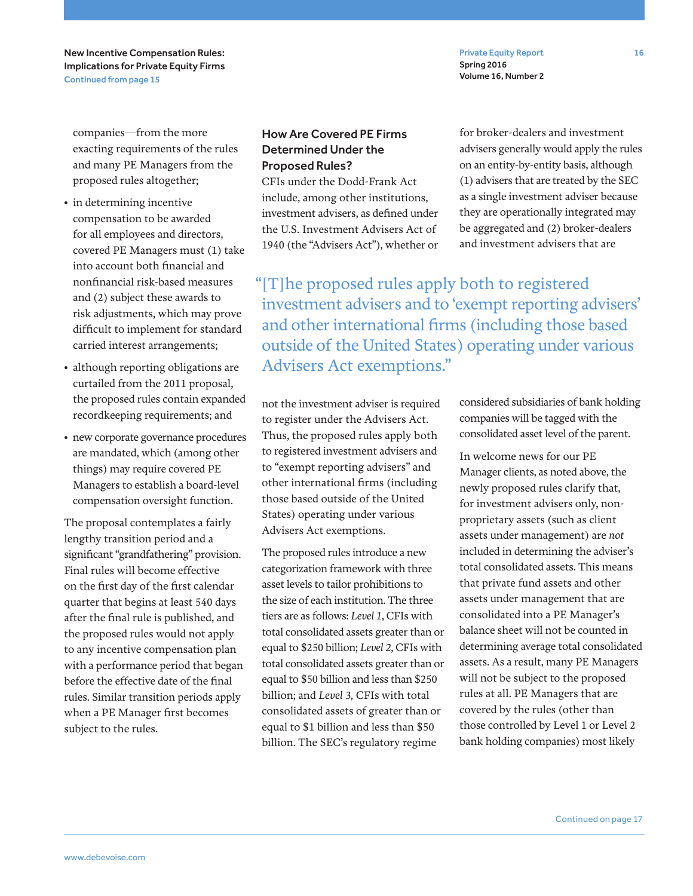New Incentive Compensation Rules: Implications for Private Equity Firms Continued from page 15

Private Equity Report 16 Spring 2016 Volume 16, Number 2

companies—from the more exacting requirements of the rules and many PE Managers from the proposed rules altogether;

- in determining incentive compensation to be awarded for all employees and directors, covered PE Managers must (1) take into account both financial and nonfinancial risk-based measures and (2) subject these awards to risk adjustments, which may prove difficult to implement for standard carried interest arrangements;
- although reporting obligations are curtailed from the 2011 proposal, the proposed rules contain expanded recordkeeping requirements; and
- new corporate governance procedures are mandated, which (among other things) may require covered PE Managers to establish a board-level compensation oversight function.

The proposal contemplates a fairly lengthy transition period and a significant "grandfathering" provision. Final rules will become effective on the first day of the first calendar quarter that begins at least 540 days after the final rule is published, and the proposed rules would not apply to any incentive compensation plan with a performance period that began before the effective date of the final rules. Similar transition periods apply when a PE Manager first becomes subject to the rules.

## How Are Covered PE Firms Determined Under the Proposed Rules?

CFIs under the Dodd-Frank Act include, among other institutions, investment advisers, as defined under the U.S. Investment Advisers Act of 1940 (the "Advisers Act"), whether or for broker-dealers and investment advisers generally would apply the rules on an entity-by-entity basis, although (1) advisers that are treated by the SEC as a single investment adviser because they are operationally integrated may be aggregated and (2) broker-dealers and investment advisers that are

"[T]he proposed rules apply both to registered investment advisers and to 'exempt reporting advisers' and other international firms (including those based outside of the United States) operating under various Advisers Act exemptions."

not the investment adviser is required to register under the Advisers Act. Thus, the proposed rules apply both to registered investment advisers and to "exempt reporting advisers" and other international firms (including those based outside of the United States) operating under various Advisers Act exemptions.

The proposed rules introduce a new categorization framework with three asset levels to tailor prohibitions to the size of each institution. The three tiers are as follows: *Level 1*, CFIs with total consolidated assets greater than or equal to \$250 billion; *Level 2*, CFIs with total consolidated assets greater than or equal to \$50 billion and less than \$250 billion; and *Level 3,* CFIs with total consolidated assets of greater than or equal to \$1 billion and less than \$50 billion. The SEC's regulatory regime

considered subsidiaries of bank holding companies will be tagged with the consolidated asset level of the parent.

In welcome news for our PE Manager clients, as noted above, the newly proposed rules clarify that, for investment advisers only, nonproprietary assets (such as client assets under management) are *not* included in determining the adviser's total consolidated assets. This means that private fund assets and other assets under management that are consolidated into a PE Manager's balance sheet will not be counted in determining average total consolidated assets. As a result, many PE Managers will not be subject to the proposed rules at all. PE Managers that are covered by the rules (other than those controlled by Level 1 or Level 2 bank holding companies) most likely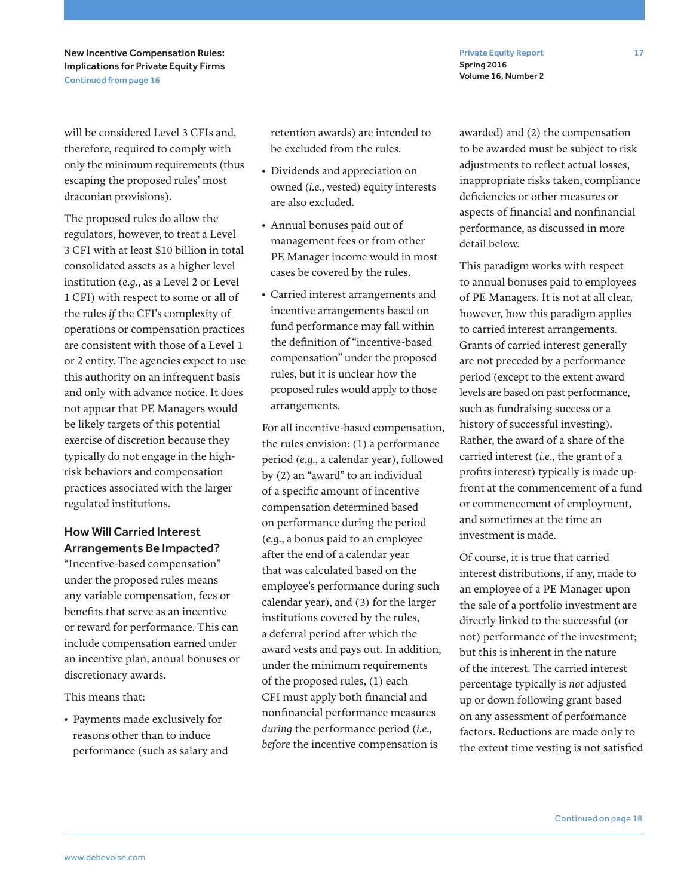New Incentive Compensation Rules: Implications for Private Equity Firms Continued from page 16

will be considered Level 3 CFIs and, therefore, required to comply with only the minimum requirements (thus escaping the proposed rules' most draconian provisions).

The proposed rules do allow the regulators, however, to treat a Level 3 CFI with at least \$10 billion in total consolidated assets as a higher level institution (*e.g.*, as a Level 2 or Level 1 CFI) with respect to some or all of the rules *if* the CFI's complexity of operations or compensation practices are consistent with those of a Level 1 or 2 entity. The agencies expect to use this authority on an infrequent basis and only with advance notice. It does not appear that PE Managers would be likely targets of this potential exercise of discretion because they typically do not engage in the highrisk behaviors and compensation practices associated with the larger regulated institutions.

## How Will Carried Interest Arrangements Be Impacted?

"Incentive-based compensation" under the proposed rules means any variable compensation, fees or benefits that serve as an incentive or reward for performance. This can include compensation earned under an incentive plan, annual bonuses or discretionary awards.

This means that:

• Payments made exclusively for reasons other than to induce performance (such as salary and retention awards) are intended to be excluded from the rules.

- Dividends and appreciation on owned (*i.e.*, vested) equity interests are also excluded.
- Annual bonuses paid out of management fees or from other PE Manager income would in most cases be covered by the rules.
- Carried interest arrangements and incentive arrangements based on fund performance may fall within the definition of "incentive-based compensation" under the proposed rules, but it is unclear how the proposed rules would apply to those arrangements.

For all incentive-based compensation, the rules envision: (1) a performance period (*e.g.*, a calendar year), followed by (2) an "award" to an individual of a specific amount of incentive compensation determined based on performance during the period (*e.g.*, a bonus paid to an employee after the end of a calendar year that was calculated based on the employee's performance during such calendar year), and (3) for the larger institutions covered by the rules, a deferral period after which the award vests and pays out. In addition, under the minimum requirements of the proposed rules, (1) each CFI must apply both financial and nonfinancial performance measures *during* the performance period (*i.e., before* the incentive compensation is

awarded) and (2) the compensation to be awarded must be subject to risk adjustments to reflect actual losses, inappropriate risks taken, compliance deficiencies or other measures or aspects of financial and nonfinancial performance, as discussed in more detail below.

Spring 2016 Volume 16, Number 2

This paradigm works with respect to annual bonuses paid to employees of PE Managers. It is not at all clear, however, how this paradigm applies to carried interest arrangements. Grants of carried interest generally are not preceded by a performance period (except to the extent award levels are based on past performance, such as fundraising success or a history of successful investing). Rather, the award of a share of the carried interest (*i.e.*, the grant of a profits interest) typically is made upfront at the commencement of a fund or commencement of employment, and sometimes at the time an investment is made.

Of course, it is true that carried interest distributions, if any, made to an employee of a PE Manager upon the sale of a portfolio investment are directly linked to the successful (or not) performance of the investment; but this is inherent in the nature of the interest. The carried interest percentage typically is *not* adjusted up or down following grant based on any assessment of performance factors. Reductions are made only to the extent time vesting is not satisfied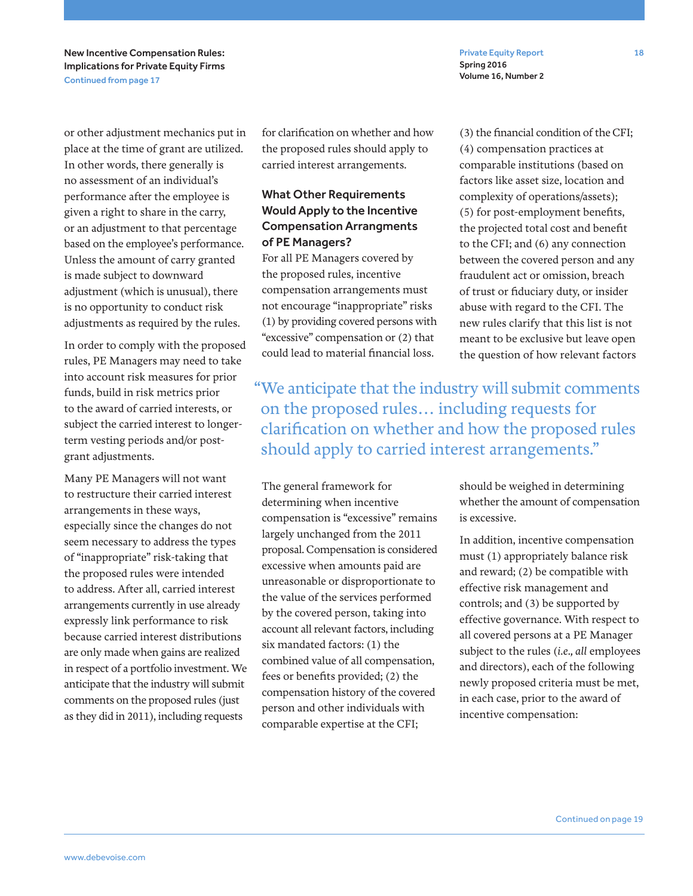New Incentive Compensation Rules: Implications for Private Equity Firms Continued from page 17

or other adjustment mechanics put in place at the time of grant are utilized. In other words, there generally is no assessment of an individual's performance after the employee is given a right to share in the carry, or an adjustment to that percentage based on the employee's performance. Unless the amount of carry granted is made subject to downward adjustment (which is unusual), there is no opportunity to conduct risk adjustments as required by the rules.

In order to comply with the proposed rules, PE Managers may need to take into account risk measures for prior funds, build in risk metrics prior to the award of carried interests, or subject the carried interest to longerterm vesting periods and/or postgrant adjustments.

Many PE Managers will not want to restructure their carried interest arrangements in these ways, especially since the changes do not seem necessary to address the types of "inappropriate" risk-taking that the proposed rules were intended to address. After all, carried interest arrangements currently in use already expressly link performance to risk because carried interest distributions are only made when gains are realized in respect of a portfolio investment. We anticipate that the industry will submit comments on the proposed rules (just as they did in 2011), including requests

for clarification on whether and how the proposed rules should apply to carried interest arrangements.

## What Other Requirements Would Apply to the Incentive Compensation Arrangments of PE Managers?

For all PE Managers covered by the proposed rules, incentive compensation arrangements must not encourage "inappropriate" risks (1) by providing covered persons with "excessive" compensation or (2) that could lead to material financial loss.

Private Equity Report 18 Spring 2016 Volume 16, Number 2

(3) the financial condition of the CFI; (4) compensation practices at comparable institutions (based on factors like asset size, location and complexity of operations/assets); (5) for post-employment benefits, the projected total cost and benefit to the CFI; and (6) any connection between the covered person and any fraudulent act or omission, breach of trust or fiduciary duty, or insider abuse with regard to the CFI. The new rules clarify that this list is not meant to be exclusive but leave open the question of how relevant factors

"We anticipate that the industry will submit comments on the proposed rules… including requests for clarification on whether and how the proposed rules should apply to carried interest arrangements."

The general framework for determining when incentive compensation is "excessive" remains largely unchanged from the 2011 proposal. Compensation is considered excessive when amounts paid are unreasonable or disproportionate to the value of the services performed by the covered person, taking into account all relevant factors, including six mandated factors: (1) the combined value of all compensation, fees or benefits provided; (2) the compensation history of the covered person and other individuals with comparable expertise at the CFI;

should be weighed in determining whether the amount of compensation is excessive.

In addition, incentive compensation must (1) appropriately balance risk and reward; (2) be compatible with effective risk management and controls; and (3) be supported by effective governance. With respect to all covered persons at a PE Manager subject to the rules (*i.e., all* employees and directors), each of the following newly proposed criteria must be met, in each case, prior to the award of incentive compensation: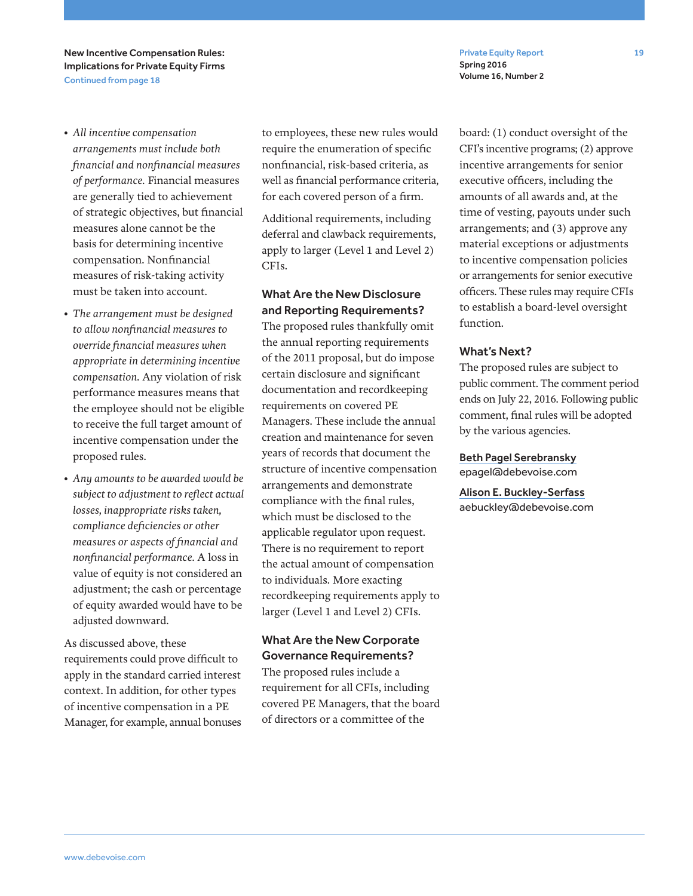New Incentive Compensation Rules: Implications for Private Equity Firms Continued from page 18

- *All incentive compensation arrangements must include both financial and nonfinancial measures of performance.* Financial measures are generally tied to achievement of strategic objectives, but financial measures alone cannot be the basis for determining incentive compensation. Nonfinancial measures of risk-taking activity must be taken into account.
- *The arrangement must be designed to allow nonfinancial measures to override financial measures when appropriate in determining incentive compensation.* Any violation of risk performance measures means that the employee should not be eligible to receive the full target amount of incentive compensation under the proposed rules.
- *Any amounts to be awarded would be subject to adjustment to reflect actual losses, inappropriate risks taken, compliance deficiencies or other measures or aspects of financial and nonfinancial performance.* A loss in value of equity is not considered an adjustment; the cash or percentage of equity awarded would have to be adjusted downward.

As discussed above, these requirements could prove difficult to apply in the standard carried interest context. In addition, for other types of incentive compensation in a PE Manager, for example, annual bonuses to employees, these new rules would require the enumeration of specific nonfinancial, risk-based criteria, as well as financial performance criteria, for each covered person of a firm.

Additional requirements, including deferral and clawback requirements, apply to larger (Level 1 and Level 2) CFIs.

## What Are the New Disclosure and Reporting Requirements?

The proposed rules thankfully omit the annual reporting requirements of the 2011 proposal, but do impose certain disclosure and significant documentation and recordkeeping requirements on covered PE Managers. These include the annual creation and maintenance for seven years of records that document the structure of incentive compensation arrangements and demonstrate compliance with the final rules, which must be disclosed to the applicable regulator upon request. There is no requirement to report the actual amount of compensation to individuals. More exacting recordkeeping requirements apply to larger (Level 1 and Level 2) CFIs.

## What Are the New Corporate Governance Requirements?

The proposed rules include a requirement for all CFIs, including covered PE Managers, that the board of directors or a committee of the

Private Equity Report 19 Spring 2016 Volume 16, Number 2

board: (1) conduct oversight of the CFI's incentive programs; (2) approve incentive arrangements for senior executive officers, including the amounts of all awards and, at the time of vesting, payouts under such arrangements; and (3) approve any material exceptions or adjustments to incentive compensation policies or arrangements for senior executive officers. These rules may require CFIs to establish a board-level oversight function.

### What's Next?

The proposed rules are subject to public comment. The comment period ends on July 22, 2016. Following public comment, final rules will be adopted by the various agencies.

Beth Pagel Serebransky epagel@debevoise.com

Alison E. Buckley-Serfass aebuckley@debevoise.com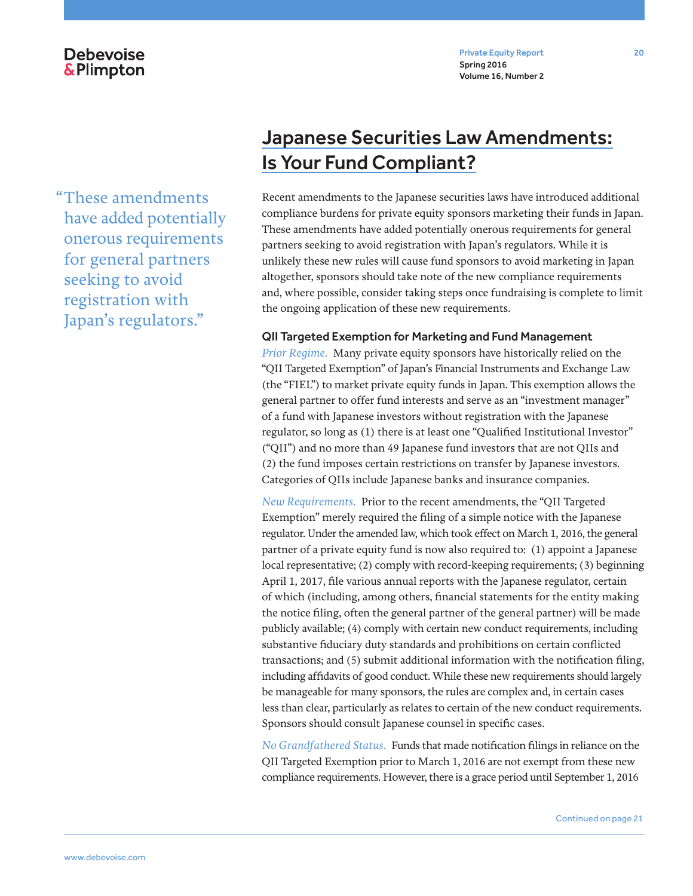"These amendments have added potentially onerous requirements for general partners seeking to avoid registration with Japan's regulators."

## Japanese Securities Law Amendments: Is Your Fund Compliant?

Recent amendments to the Japanese securities laws have introduced additional compliance burdens for private equity sponsors marketing their funds in Japan. These amendments have added potentially onerous requirements for general partners seeking to avoid registration with Japan's regulators. While it is unlikely these new rules will cause fund sponsors to avoid marketing in Japan altogether, sponsors should take note of the new compliance requirements and, where possible, consider taking steps once fundraising is complete to limit the ongoing application of these new requirements.

#### QII Targeted Exemption for Marketing and Fund Management

*Prior Regime.* Many private equity sponsors have historically relied on the "QII Targeted Exemption" of Japan's Financial Instruments and Exchange Law (the "FIEL") to market private equity funds in Japan. This exemption allows the general partner to offer fund interests and serve as an "investment manager" of a fund with Japanese investors without registration with the Japanese regulator, so long as (1) there is at least one "Qualified Institutional Investor" ("QII") and no more than 49 Japanese fund investors that are not QIIs and (2) the fund imposes certain restrictions on transfer by Japanese investors. Categories of QIIs include Japanese banks and insurance companies.

*New Requirements.* Prior to the recent amendments, the "QII Targeted Exemption" merely required the filing of a simple notice with the Japanese regulator. Under the amended law, which took effect on March 1, 2016, the general partner of a private equity fund is now also required to: (1) appoint a Japanese local representative; (2) comply with record-keeping requirements; (3) beginning April 1, 2017, file various annual reports with the Japanese regulator, certain of which (including, among others, financial statements for the entity making the notice filing, often the general partner of the general partner) will be made publicly available; (4) comply with certain new conduct requirements, including substantive fiduciary duty standards and prohibitions on certain conflicted transactions; and (5) submit additional information with the notification filing, including affidavits of good conduct. While these new requirements should largely be manageable for many sponsors, the rules are complex and, in certain cases less than clear, particularly as relates to certain of the new conduct requirements. Sponsors should consult Japanese counsel in specific cases.

*No Grandfathered Status.* Funds that made notification filings in reliance on the QII Targeted Exemption prior to March 1, 2016 are not exempt from these new compliance requirements. However, there is a grace period until September 1, 2016

Continued on page 21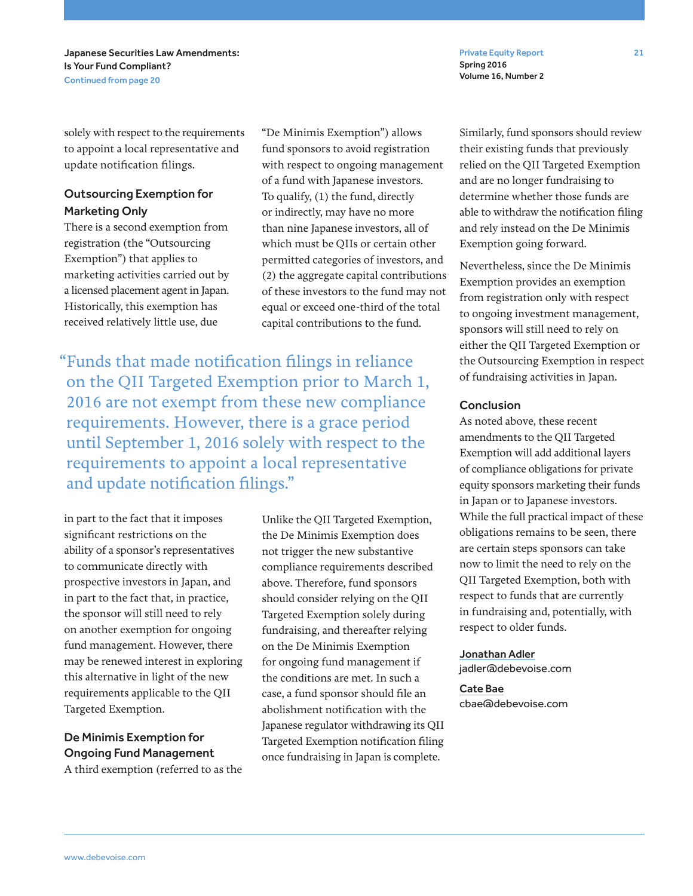Private Equity Report 21 Spring 2016 Volume 16, Number 2

solely with respect to the requirements to appoint a local representative and update notification filings.

## Outsourcing Exemption for Marketing Only

There is a second exemption from registration (the "Outsourcing Exemption") that applies to marketing activities carried out by a licensed placement agent in Japan. Historically, this exemption has received relatively little use, due

"De Minimis Exemption") allows fund sponsors to avoid registration with respect to ongoing management of a fund with Japanese investors. To qualify, (1) the fund, directly or indirectly, may have no more than nine Japanese investors, all of which must be QIIs or certain other permitted categories of investors, and (2) the aggregate capital contributions of these investors to the fund may not equal or exceed one-third of the total capital contributions to the fund.

"Funds that made notification filings in reliance on the QII Targeted Exemption prior to March 1, 2016 are not exempt from these new compliance requirements. However, there is a grace period until September 1, 2016 solely with respect to the requirements to appoint a local representative and update notification filings."

in part to the fact that it imposes significant restrictions on the ability of a sponsor's representatives to communicate directly with prospective investors in Japan, and in part to the fact that, in practice, the sponsor will still need to rely on another exemption for ongoing fund management. However, there may be renewed interest in exploring this alternative in light of the new requirements applicable to the QII Targeted Exemption.

## De Minimis Exemption for Ongoing Fund Management

A third exemption (referred to as the

Unlike the QII Targeted Exemption, the De Minimis Exemption does not trigger the new substantive compliance requirements described above. Therefore, fund sponsors should consider relying on the QII Targeted Exemption solely during fundraising, and thereafter relying on the De Minimis Exemption for ongoing fund management if the conditions are met. In such a case, a fund sponsor should file an abolishment notification with the Japanese regulator withdrawing its QII Targeted Exemption notification filing once fundraising in Japan is complete.

Similarly, fund sponsors should review their existing funds that previously relied on the QII Targeted Exemption and are no longer fundraising to determine whether those funds are able to withdraw the notification filing and rely instead on the De Minimis Exemption going forward.

Nevertheless, since the De Minimis Exemption provides an exemption from registration only with respect to ongoing investment management, sponsors will still need to rely on either the QII Targeted Exemption or the Outsourcing Exemption in respect of fundraising activities in Japan.

#### Conclusion

As noted above, these recent amendments to the QII Targeted Exemption will add additional layers of compliance obligations for private equity sponsors marketing their funds in Japan or to Japanese investors. While the full practical impact of these obligations remains to be seen, there are certain steps sponsors can take now to limit the need to rely on the QII Targeted Exemption, both with respect to funds that are currently in fundraising and, potentially, with respect to older funds.

#### Jonathan Adler

jadler@debevoise.com

Cate Bae cbae@debevoise.com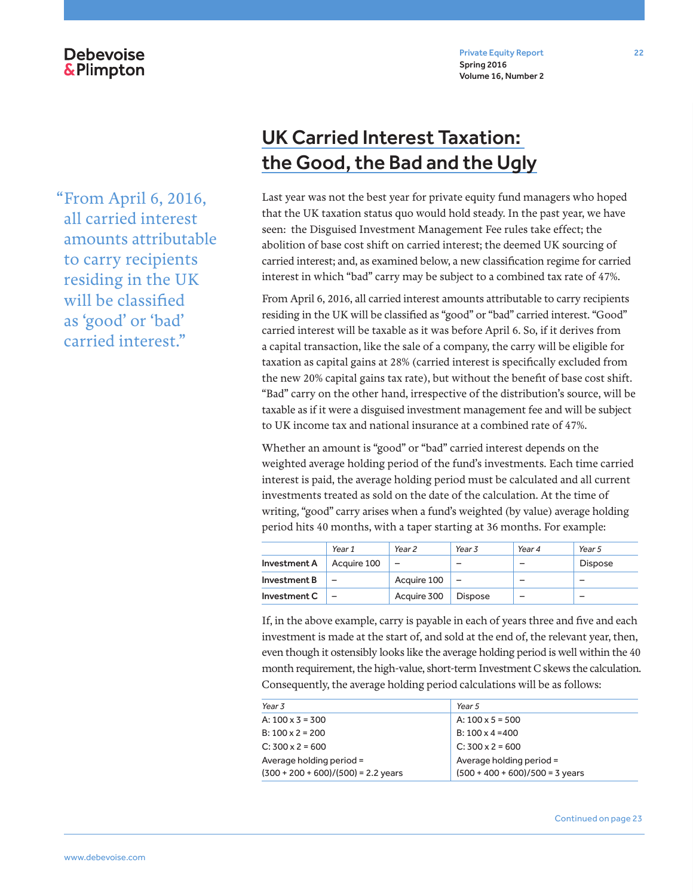"From April 6, 2016, all carried interest amounts attributable to carry recipients residing in the UK will be classified as 'good' or 'bad' carried interest."

**Debevoise &Plimpton** 

## UK Carried Interest Taxation: the Good, the Bad and the Ugly

Last year was not the best year for private equity fund managers who hoped that the UK taxation status quo would hold steady. In the past year, we have seen: the Disguised Investment Management Fee rules take effect; the abolition of base cost shift on carried interest; the deemed UK sourcing of carried interest; and, as examined below, a new classification regime for carried interest in which "bad" carry may be subject to a combined tax rate of 47%.

From April 6, 2016, all carried interest amounts attributable to carry recipients residing in the UK will be classified as "good" or "bad" carried interest. "Good" carried interest will be taxable as it was before April 6. So, if it derives from a capital transaction, like the sale of a company, the carry will be eligible for taxation as capital gains at 28% (carried interest is specifically excluded from the new 20% capital gains tax rate), but without the benefit of base cost shift. "Bad" carry on the other hand, irrespective of the distribution's source, will be taxable as if it were a disguised investment management fee and will be subject to UK income tax and national insurance at a combined rate of 47%.

Whether an amount is "good" or "bad" carried interest depends on the weighted average holding period of the fund's investments. Each time carried interest is paid, the average holding period must be calculated and all current investments treated as sold on the date of the calculation. At the time of writing, "good" carry arises when a fund's weighted (by value) average holding period hits 40 months, with a taper starting at 36 months. For example:

|              | Year 1                   | Year <sub>2</sub> | Year 3         | Year 4 | Year 5         |
|--------------|--------------------------|-------------------|----------------|--------|----------------|
| Investment A | Acauire 100              |                   |                |        | <b>Dispose</b> |
| Investment B | $\overline{\phantom{0}}$ | Acquire 100       |                |        | -              |
| Investment C | -                        | Acquire 300       | <b>Dispose</b> | -      | -              |

If, in the above example, carry is payable in each of years three and five and each investment is made at the start of, and sold at the end of, the relevant year, then, even though it ostensibly looks like the average holding period is well within the 40 month requirement, the high-value, short-term Investment C skews the calculation. Consequently, the average holding period calculations will be as follows:

| Year 3                                                            | Year 5                                                        |
|-------------------------------------------------------------------|---------------------------------------------------------------|
| A: $100 \times 3 = 300$                                           | A: $100 \times 5 = 500$                                       |
| $B: 100 \times 2 = 200$                                           | $B: 100 \times 4 = 400$                                       |
| $C: 300 \times 2 = 600$                                           | $C: 300 \times 2 = 600$                                       |
| Average holding period =<br>$(300 + 200 + 600)/(500) = 2.2$ years | Average holding period =<br>$(500 + 400 + 600)/500 = 3$ years |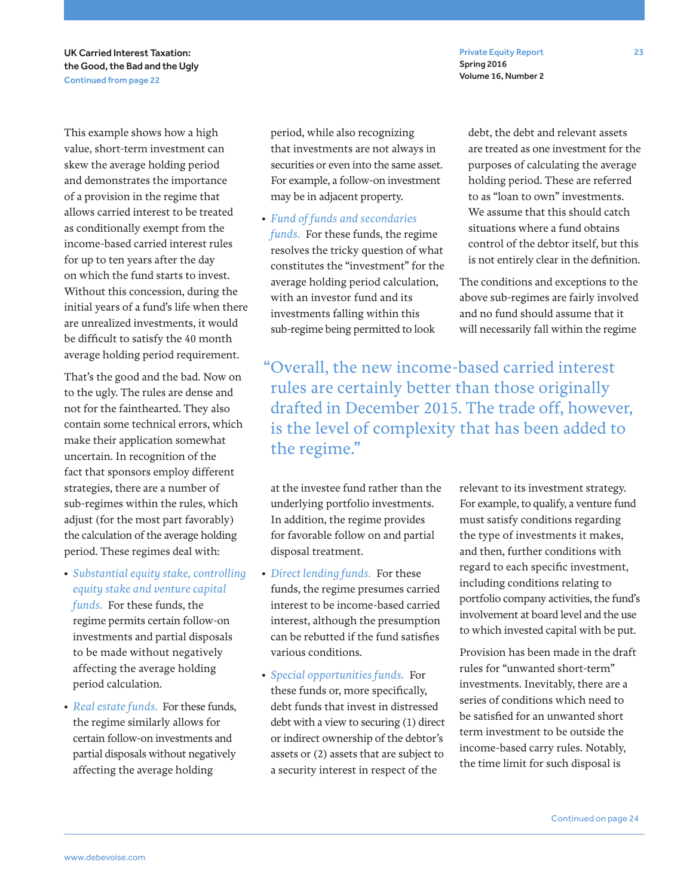UK Carried Interest Taxation: the Good, the Bad and the Ugly Continued from page 22

This example shows how a high value, short-term investment can skew the average holding period and demonstrates the importance of a provision in the regime that allows carried interest to be treated as conditionally exempt from the income-based carried interest rules for up to ten years after the day on which the fund starts to invest. Without this concession, during the initial years of a fund's life when there are unrealized investments, it would be difficult to satisfy the 40 month average holding period requirement.

That's the good and the bad. Now on to the ugly. The rules are dense and not for the fainthearted. They also contain some technical errors, which make their application somewhat uncertain. In recognition of the fact that sponsors employ different strategies, there are a number of sub-regimes within the rules, which adjust (for the most part favorably) the calculation of the average holding period. These regimes deal with:

- *Substantial equity stake, controlling equity stake and venture capital funds.* For these funds, the regime permits certain follow-on investments and partial disposals to be made without negatively affecting the average holding period calculation.
- *Real estate funds.* For these funds, the regime similarly allows for certain follow-on investments and partial disposals without negatively affecting the average holding

period, while also recognizing that investments are not always in securities or even into the same asset. For example, a follow-on investment may be in adjacent property.

• *Fund of funds and secondaries funds.* For these funds, the regime resolves the tricky question of what constitutes the "investment" for the average holding period calculation, with an investor fund and its investments falling within this sub-regime being permitted to look

debt, the debt and relevant assets are treated as one investment for the purposes of calculating the average holding period. These are referred to as "loan to own" investments. We assume that this should catch situations where a fund obtains control of the debtor itself, but this is not entirely clear in the definition.

Spring 2016 Volume 16, Number 2

The conditions and exceptions to the above sub-regimes are fairly involved and no fund should assume that it will necessarily fall within the regime

"Overall, the new income-based carried interest rules are certainly better than those originally drafted in December 2015. The trade off, however, is the level of complexity that has been added to the regime."

at the investee fund rather than the underlying portfolio investments. In addition, the regime provides for favorable follow on and partial disposal treatment.

- *Direct lending funds.* For these funds, the regime presumes carried interest to be income-based carried interest, although the presumption can be rebutted if the fund satisfies various conditions.
- *Special opportunities funds.* For these funds or, more specifically, debt funds that invest in distressed debt with a view to securing (1) direct or indirect ownership of the debtor's assets or (2) assets that are subject to a security interest in respect of the

relevant to its investment strategy. For example, to qualify, a venture fund must satisfy conditions regarding the type of investments it makes, and then, further conditions with regard to each specific investment, including conditions relating to portfolio company activities, the fund's involvement at board level and the use to which invested capital with be put.

Provision has been made in the draft rules for "unwanted short-term" investments. Inevitably, there are a series of conditions which need to be satisfied for an unwanted short term investment to be outside the income-based carry rules. Notably, the time limit for such disposal is

Continued on page 24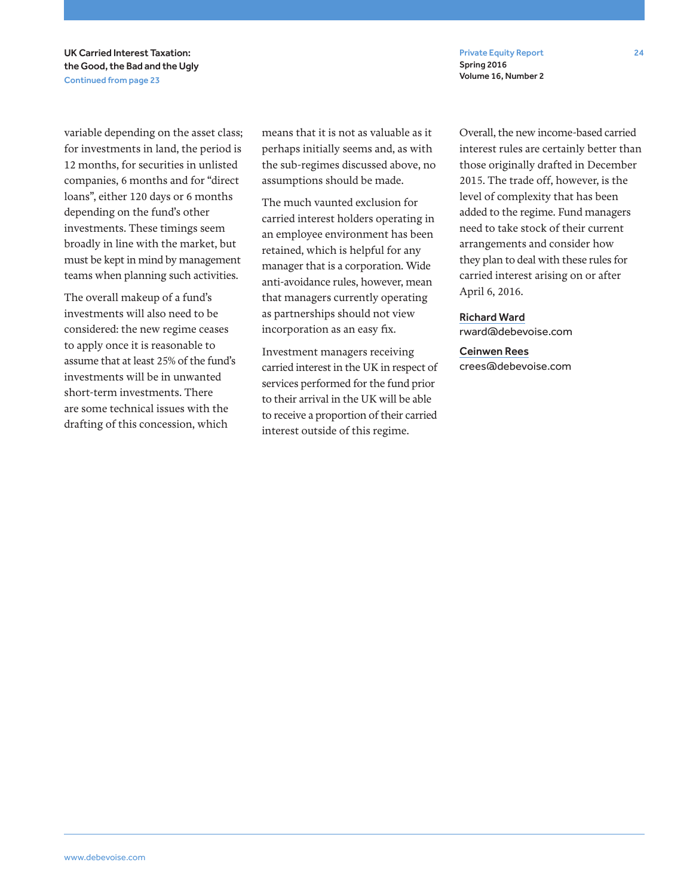UK Carried Interest Taxation: the Good, the Bad and the Ugly Continued from page 23

variable depending on the asset class; for investments in land, the period is 12 months, for securities in unlisted companies, 6 months and for "direct loans", either 120 days or 6 months depending on the fund's other investments. These timings seem broadly in line with the market, but must be kept in mind by management teams when planning such activities.

The overall makeup of a fund's investments will also need to be considered: the new regime ceases to apply once it is reasonable to assume that at least 25% of the fund's investments will be in unwanted short-term investments. There are some technical issues with the drafting of this concession, which

means that it is not as valuable as it perhaps initially seems and, as with the sub-regimes discussed above, no assumptions should be made.

The much vaunted exclusion for carried interest holders operating in an employee environment has been retained, which is helpful for any manager that is a corporation. Wide anti-avoidance rules, however, mean that managers currently operating as partnerships should not view incorporation as an easy fix.

Investment managers receiving carried interest in the UK in respect of services performed for the fund prior to their arrival in the UK will be able to receive a proportion of their carried interest outside of this regime.

Overall, the new income-based carried interest rules are certainly better than those originally drafted in December 2015. The trade off, however, is the level of complexity that has been added to the regime. Fund managers need to take stock of their current arrangements and consider how they plan to deal with these rules for carried interest arising on or after April 6, 2016.

Richard Ward rward@debevoise.com

Spring 2016 Volume 16, Number 2

Ceinwen Rees crees@debevoise.com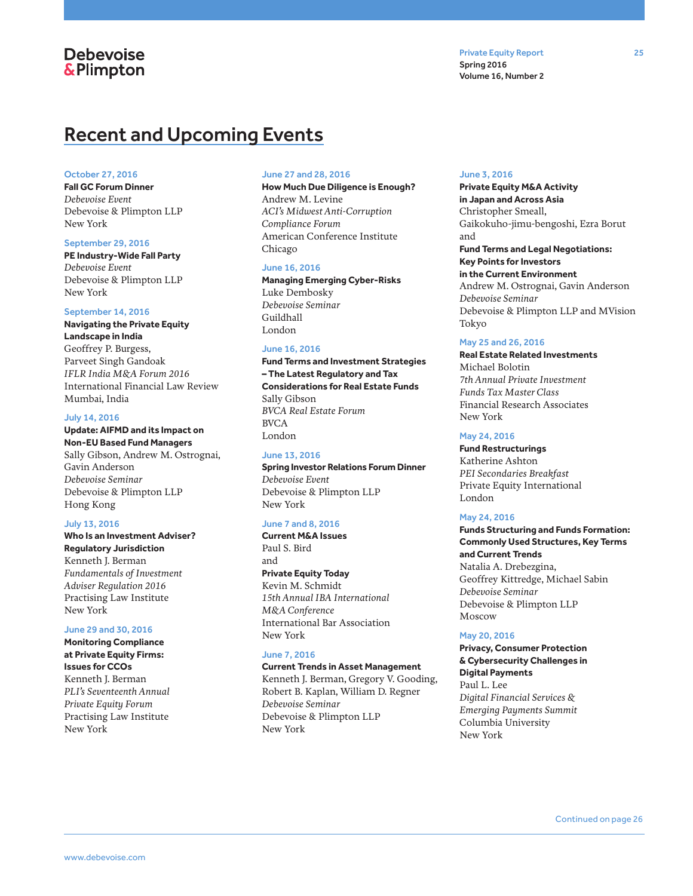## **Debevoise &Plimpton**

## Recent and Upcoming Events

#### October 27, 2016

**Fall GC Forum Dinner**  *Debevoise Event*  Debevoise & Plimpton LLP New York

#### September 29, 2016

**PE Industry-Wide Fall Party**  *Debevoise Event*  Debevoise & Plimpton LLP New York

#### September 14, 2016

**Navigating the Private Equity Landscape in India**  Geoffrey P. Burgess, Parveet Singh Gandoak *IFLR India M&A Forum 2016*  International Financial Law Review Mumbai, India

#### July 14, 2016

#### **Update: AIFMD and its Impact on Non-EU Based Fund Managers**

Sally Gibson, Andrew M. Ostrognai, Gavin Anderson *Debevoise Seminar*  Debevoise & Plimpton LLP Hong Kong

#### July 13, 2016

### **Who Is an Investment Adviser?**

**Regulatory Jurisdiction**  Kenneth J. Berman *Fundamentals of Investment Adviser Regulation 2016*  Practising Law Institute New York

#### June 29 and 30, 2016

**Monitoring Compliance at Private Equity Firms: Issues for CCOs**  Kenneth J. Berman *PLI's Seventeenth Annual Private Equity Forum*  Practising Law Institute New York

#### June 27 and 28, 2016

**How Much Due Diligence is Enough?** Andrew M. Levine *ACI's Midwest Anti-Corruption Compliance Forum* American Conference Institute Chicago

#### June 16, 2016

**Managing Emerging Cyber-Risks**  Luke Dembosky *Debevoise Seminar*  Guildhall London

#### June 16, 2016

**Fund Terms and Investment Strategies – The Latest Regulatory and Tax Considerations for Real Estate Funds** Sally Gibson *BVCA Real Estate Forum*  BVCA London

#### June 13, 2016

**Spring Investor Relations Forum Dinner**  *Debevoise Event*  Debevoise & Plimpton LLP New York

#### June 7 and 8, 2016

**Current M&A Issues** Paul S. Bird and **Private Equity Today**  Kevin M. Schmidt *15th Annual IBA International M&A Conference*  International Bar Association New York

#### June 7, 2016

**Current Trends in Asset Management**  Kenneth J. Berman, Gregory V. Gooding, Robert B. Kaplan, William D. Regner *Debevoise Seminar*  Debevoise & Plimpton LLP New York

#### June 3, 2016

Spring 2016 Volume 16, Number 2

**Private Equity M&A Activity in Japan and Across Asia** Christopher Smeall, Gaikokuho-jimu-bengoshi, Ezra Borut and **Fund Terms and Legal Negotiations: Key Points for Investors in the Current Environment**  Andrew M. Ostrognai, Gavin Anderson *Debevoise Seminar*  Debevoise & Plimpton LLP and MVision Tokyo

#### May 25 and 26, 2016

**Real Estate Related Investments**  Michael Bolotin *7th Annual Private Investment Funds Tax Master Class*  Financial Research Associates New York

#### May 24, 2016

**Fund Restructurings**  Katherine Ashton *PEI Secondaries Breakfast* Private Equity International London

#### May 24, 2016

**Funds Structuring and Funds Formation: Commonly Used Structures, Key Terms and Current Trends**  Natalia A. Drebezgina, Geoffrey Kittredge, Michael Sabin *Debevoise Seminar* Debevoise & Plimpton LLP Moscow

#### May 20, 2016

**Privacy, Consumer Protection & Cybersecurity Challenges in Digital Payments**  Paul L. Lee *Digital Financial Services & Emerging Payments Summit*  Columbia University New York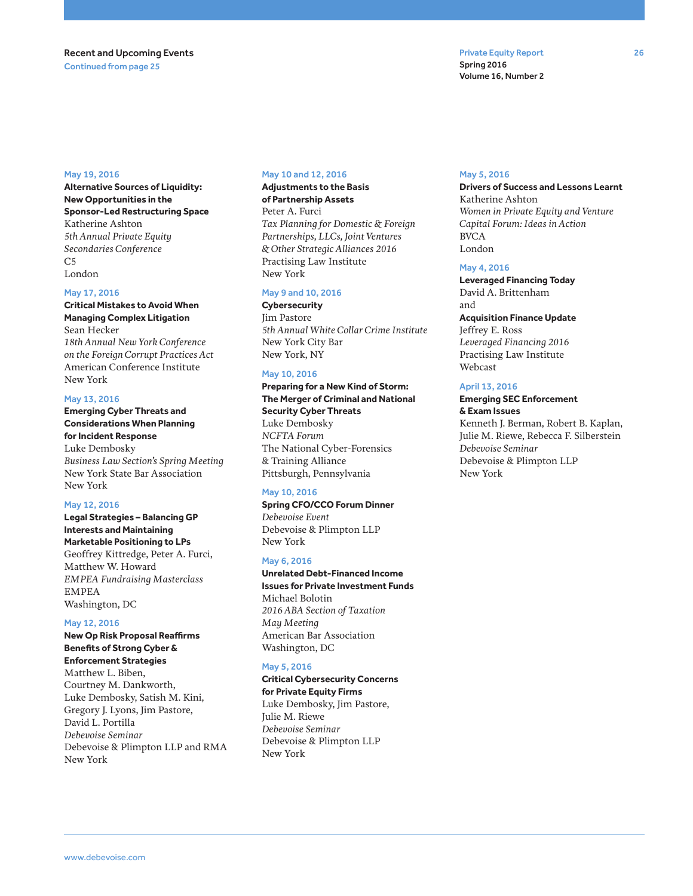#### May 19, 2016

**Alternative Sources of Liquidity: New Opportunities in the Sponsor-Led Restructuring Space**  Katherine Ashton *5th Annual Private Equity Secondaries Conference*   $C<sub>5</sub>$ London

#### May 17, 2016

**Critical Mistakes to Avoid When Managing Complex Litigation**  Sean Hecker *18th Annual New York Conference on the Foreign Corrupt Practices Act*  American Conference Institute New York

#### May 13, 2016

**Emerging Cyber Threats and Considerations When Planning for Incident Response**  Luke Dembosky *Business Law Section's Spring Meeting*  New York State Bar Association New York

#### May 12, 2016

**Legal Strategies – Balancing GP Interests and Maintaining Marketable Positioning to LPs**  Geoffrey Kittredge, Peter A. Furci, Matthew W. Howard *EMPEA Fundraising Masterclass*  EMPEA Washington, DC

#### May 12, 2016

**New Op Risk Proposal Reaffirms Benefits of Strong Cyber & Enforcement Strategies**  Matthew L. Biben, Courtney M. Dankworth, Luke Dembosky, Satish M. Kini, Gregory J. Lyons, Jim Pastore, David L. Portilla *Debevoise Seminar*  Debevoise & Plimpton LLP and RMA New York

#### May 10 and 12, 2016

#### **Adjustments to the Basis of Partnership Assets**  Peter A. Furci *Tax Planning for Domestic & Foreign Partnerships, LLCs, Joint Ventures & Other Strategic Alliances 2016*  Practising Law Institute New York

#### May 9 and 10, 2016

**Cybersecurity**  Jim Pastore *5th Annual White Collar Crime Institute*  New York City Bar New York, NY

#### May 10, 2016

**Preparing for a New Kind of Storm: The Merger of Criminal and National Security Cyber Threats**  Luke Dembosky *NCFTA Forum*  The National Cyber-Forensics & Training Alliance Pittsburgh, Pennsylvania

#### May 10, 2016

**Spring CFO/CCO Forum Dinner** *Debevoise Event*  Debevoise & Plimpton LLP New York

#### May 6, 2016

**Unrelated Debt-Financed Income Issues for Private Investment Funds**  Michael Bolotin *2016 ABA Section of Taxation May Meeting*  American Bar Association Washington, DC

#### May 5, 2016

**Critical Cybersecurity Concerns for Private Equity Firms**  Luke Dembosky, Jim Pastore, Julie M. Riewe *Debevoise Seminar*  Debevoise & Plimpton LLP New York

#### May 5, 2016

Spring 2016 Volume 16, Number 2

**Drivers of Success and Lessons Learnt**  Katherine Ashton *Women in Private Equity and Venture Capital Forum: Ideas in Action*  BVCA London

#### May 4, 2016

**Leveraged Financing Today**  David A. Brittenham and **Acquisition Finance Update**  Jeffrey E. Ross *Leveraged Financing 2016*  Practising Law Institute Webcast

### April 13, 2016

#### **Emerging SEC Enforcement & Exam Issues**

Kenneth J. Berman, Robert B. Kaplan, Julie M. Riewe, Rebecca F. Silberstein *Debevoise Seminar*  Debevoise & Plimpton LLP New York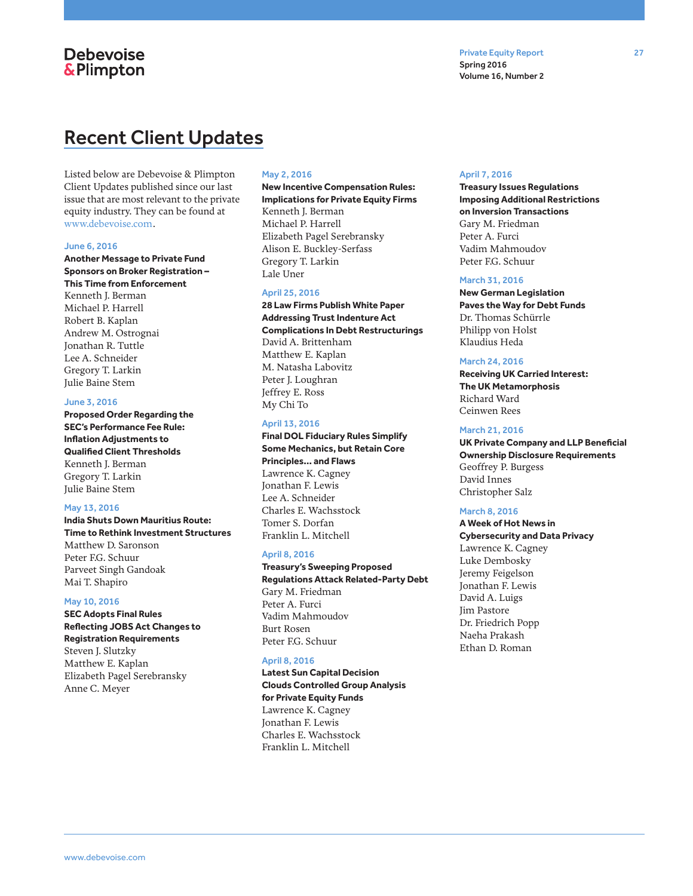## **Debevoise &Plimpton**

## Recent Client Updates

Listed below are Debevoise & Plimpton Client Updates published since our last issue that are most relevant to the private equity industry. They can be found at www.debevoise.com.

#### June 6, 2016

**Another Message to Private Fund Sponsors on Broker Registration – This Time from Enforcement** Kenneth J. Berman Michael P. Harrell Robert B. Kaplan Andrew M. Ostrognai Jonathan R. Tuttle Lee A. Schneider Gregory T. Larkin

Julie Baine Stem

### June 3, 2016

**Proposed Order Regarding the SEC's Performance Fee Rule: Inflation Adjustments to Qualified Client Thresholds** Kenneth J. Berman Gregory T. Larkin Julie Baine Stem

#### May 13, 2016

**India Shuts Down Mauritius Route: Time to Rethink Investment Structures** Matthew D. Saronson Peter F.G. Schuur Parveet Singh Gandoak Mai T. Shapiro

#### May 10, 2016

**SEC Adopts Final Rules Reflecting JOBS Act Changes to Registration Requirements** Steven J. Slutzky Matthew E. Kaplan Elizabeth Pagel Serebransky Anne C. Meyer

#### May 2, 2016

**New Incentive Compensation Rules: Implications for Private Equity Firms** Kenneth J. Berman Michael P. Harrell Elizabeth Pagel Serebransky Alison E. Buckley-Serfass Gregory T. Larkin Lale Uner

#### April 25, 2016

**28 Law Firms Publish White Paper Addressing Trust Indenture Act Complications In Debt Restructurings** David A. Brittenham Matthew E. Kaplan M. Natasha Labovitz Peter J. Loughran Jeffrey E. Ross My Chi To

#### April 13, 2016

**Final DOL Fiduciary Rules Simplify Some Mechanics, but Retain Core Principles… and Flaws** Lawrence K. Cagney Jonathan F. Lewis Lee A. Schneider Charles E. Wachsstock Tomer S. Dorfan Franklin L. Mitchell

#### April 8, 2016

**Treasury's Sweeping Proposed Regulations Attack Related-Party Debt** Gary M. Friedman Peter A. Furci Vadim Mahmoudov Burt Rosen Peter F.G. Schuur

#### April 8, 2016

**Latest Sun Capital Decision Clouds Controlled Group Analysis for Private Equity Funds** Lawrence K. Cagney Jonathan F. Lewis Charles E. Wachsstock Franklin L. Mitchell

#### April 7, 2016

**Treasury Issues Regulations Imposing Additional Restrictions on Inversion Transactions** Gary M. Friedman Peter A. Furci Vadim Mahmoudov Peter F.G. Schuur

#### March 31, 2016

**New German Legislation Paves the Way for Debt Funds** Dr. Thomas Schürrle Philipp von Holst Klaudius Heda

#### March 24, 2016

**Receiving UK Carried Interest: The UK Metamorphosis** Richard Ward Ceinwen Rees

#### March 21, 2016

**UK Private Company and LLP Beneficial Ownership Disclosure Requirements** Geoffrey P. Burgess David Innes Christopher Salz

#### March 8, 2016

**A Week of Hot News in Cybersecurity and Data Privacy** Lawrence K. Cagney Luke Dembosky Jeremy Feigelson Jonathan F. Lewis David A. Luigs Jim Pastore Dr. Friedrich Popp Naeha Prakash Ethan D. Roman